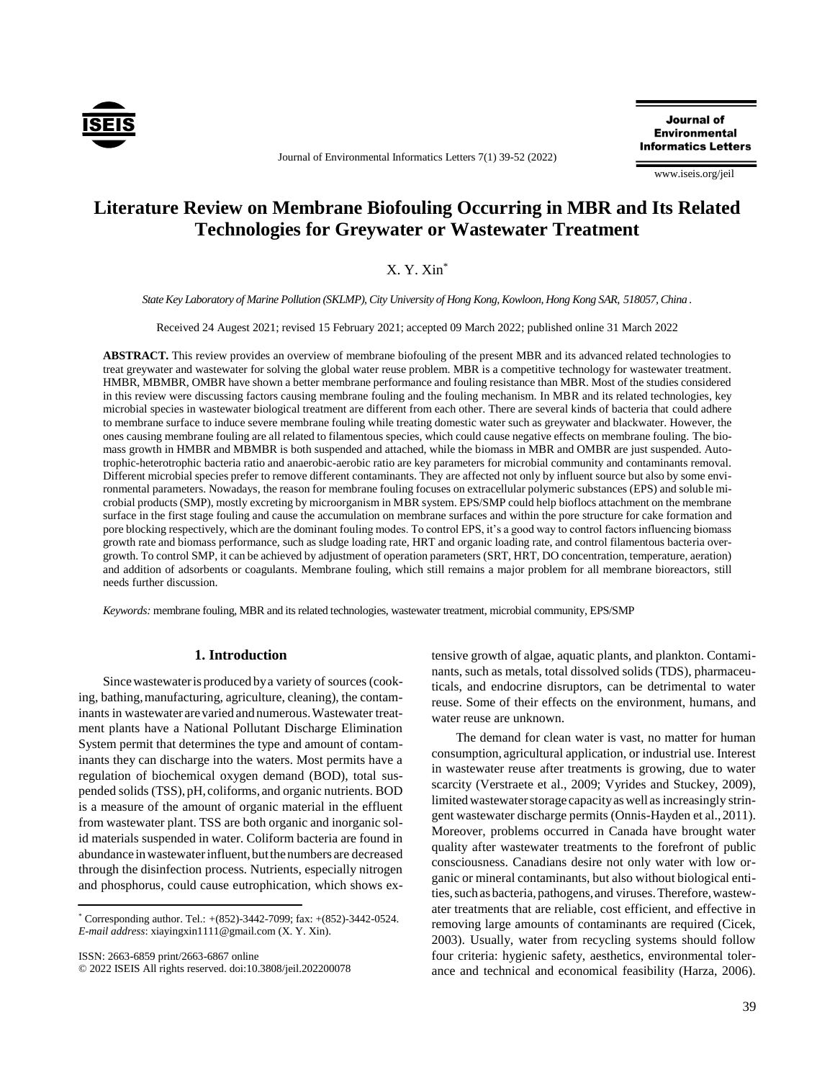

Journal of Environmental Informatics Letters 7(1) 39-52 (2022)

**Journal of Environmental Informatics Letters** 

www.iseis.org/jeil

# **Literature Review on Membrane Biofouling Occurring in MBR and Its Related Technologies for Greywater or Wastewater Treatment**

# X. Y. Xin\*

*State Key Laboratory of Marine Pollution (SKLMP), City University of Hong Kong, Kowloon, Hong Kong SAR, 518057, China .* 

Received 24 Augest 2021; revised 15 February 2021; accepted 09 March 2022; published online 31 March 2022

**ABSTRACT.** This review provides an overview of membrane biofouling of the present MBR and its advanced related technologies to treat greywater and wastewater for solving the global water reuse problem. MBR is a competitive technology for wastewater treatment. HMBR, MBMBR, OMBR have shown a better membrane performance and fouling resistance than MBR. Most of the studies considered in this review were discussing factors causing membrane fouling and the fouling mechanism. In MBR and its related technologies, key microbial species in wastewater biological treatment are different from each other. There are several kinds of bacteria that could adhere to membrane surface to induce severe membrane fouling while treating domestic water such as greywater and blackwater. However, the ones causing membrane fouling are all related to filamentous species, which could cause negative effects on membrane fouling. The biomass growth in HMBR and MBMBR is both suspended and attached, while the biomass in MBR and OMBR are just suspended. Autotrophic-heterotrophic bacteria ratio and anaerobic-aerobic ratio are key parameters for microbial community and contaminants removal. Different microbial species prefer to remove different contaminants. They are affected not only by influent source but also by some environmental parameters. Nowadays, the reason for membrane fouling focuses on extracellular polymeric substances (EPS) and soluble microbial products (SMP), mostly excreting by microorganism in MBR system. EPS/SMP could help bioflocs attachment on the membrane surface in the first stage fouling and cause the accumulation on membrane surfaces and within the pore structure for cake formation and pore blocking respectively, which are the dominant fouling modes. To control EPS, it's a good way to control factors influencing biomass growth rate and biomass performance, such as sludge loading rate, HRT and organic loading rate, and control filamentous bacteria overgrowth. To control SMP, it can be achieved by adjustment of operation parameters (SRT, HRT, DO concentration, temperature, aeration) and addition of adsorbents or coagulants. Membrane fouling, which still remains a major problem for all membrane bioreactors, still needs further discussion.

*Keywords:* membrane fouling, MBR and its related technologies, wastewater treatment, microbial community, EPS/SMP

#### **1. Introduction**

Sincewastewateris produced bya variety of sources (cooking, bathing, manufacturing, agriculture, cleaning), the contaminants in wastewater are varied and numerous.Wastewater treatment plants have a National Pollutant Discharge Elimination System permit that determines the type and amount of contaminants they can discharge into the waters. Most permits have a regulation of biochemical oxygen demand (BOD), total suspended solids (TSS),pH, coliforms, and organic nutrients. BOD is a measure of the amount of organic material in the effluent from wastewater plant. TSS are both organic and inorganic solid materials suspended in water. Coliform bacteria are found in abundance in wastewater influent, but the numbers are decreased through the disinfection process. Nutrients, especially nitrogen and phosphorus, could cause eutrophication, which shows ex-

ISSN: 2663-6859 print/2663-6867 online © 2022 ISEIS All rights reserved. doi:10.3808/jeil.202200078 tensive growth of algae, aquatic plants, and plankton. Contaminants, such as metals, total dissolved solids (TDS), pharmaceuticals, and endocrine disruptors, can be detrimental to water reuse. Some of their effects on the environment, humans, and water reuse are unknown.

The demand for clean water is vast, no matter for human consumption, agricultural application, or industrial use. Interest in wastewater reuse after treatments is growing, due to water scarcity (Verstraete et al., 2009; Vyrides and Stuckey, 2009), limited wastewater storage capacity as well as increasingly stringent wastewater discharge permits (Onnis-Hayden et al., 2011). Moreover, problems occurred in Canada have brought water quality after wastewater treatments to the forefront of public consciousness. Canadians desire not only water with low organic or mineral contaminants, but also without biological entities, such as bacteria, pathogens, and viruses. Therefore, wastewater treatments that are reliable, cost efficient, and effective in removing large amounts of contaminants are required (Cicek, 2003). Usually, water from recycling systems should follow four criteria: hygienic safety, aesthetics, environmental tolerance and technical and economical feasibility (Harza, 2006).

 $*$  Corresponding author. Tel.:  $+(852)-3442-7099$ ; fax:  $+(852)-3442-0524$ . *E-mail address*: xiayingxin1111@gmail.com (X. Y. Xin).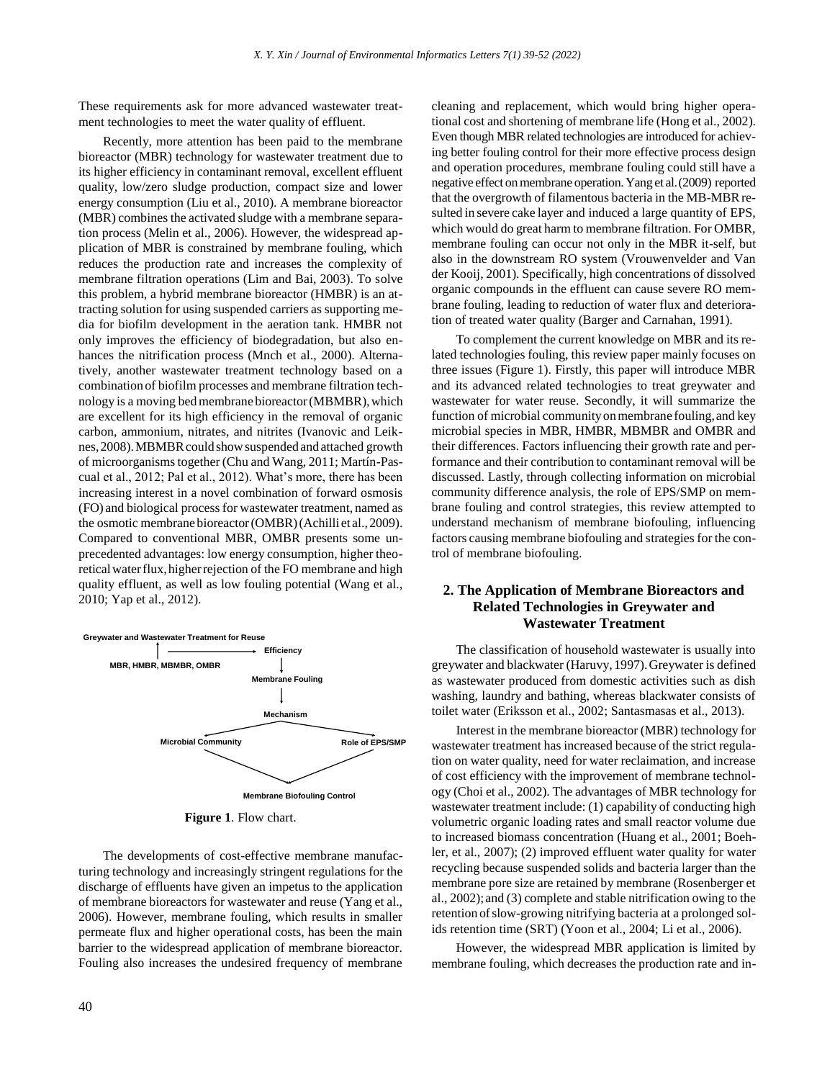These requirements ask for more advanced wastewater treatment technologies to meet the water quality of effluent.

Recently, more attention has been paid to the membrane bioreactor (MBR) technology for wastewater treatment due to its higher efficiency in contaminant removal, excellent effluent quality, low/zero sludge production, compact size and lower energy consumption (Liu et al., 2010). A membrane bioreactor (MBR) combines the activated sludge with a membrane separation process (Melin et al., 2006). However, the widespread application of MBR is constrained by membrane fouling, which reduces the production rate and increases the complexity of membrane filtration operations (Lim and Bai, 2003). To solve this problem, a hybrid membrane bioreactor (HMBR) is an attracting solution for using suspended carriers as supporting media for biofilm development in the aeration tank. HMBR not only improves the efficiency of biodegradation, but also enhances the nitrification process (Mnch et al., 2000). Alternatively, another wastewater treatment technology based on a combinationof biofilm processes and membrane filtration technology is a moving bed membrane bioreactor (MBMBR), which are excellent for its high efficiency in the removal of organic carbon, ammonium, nitrates, and nitrites (Ivanovic and Leiknes,2008).MBMBRcouldshowsuspended andattached growth of microorganisms together (Chu and Wang, 2011; Martín-Pascual et al., 2012; Pal et al., 2012). What's more, there has been increasing interest in a novel combination of forward osmosis (FO) and biological process for wastewater treatment, named as the osmotic membrane bioreactor(OMBR)(Achilli et al.,2009). Compared to conventional MBR, OMBR presents some unprecedented advantages: low energy consumption, higher theoretical water flux, higher rejection of the FO membrane and high quality effluent, as well as low fouling potential (Wang et al., 2010; Yap et al., 2012).



**Figure 1**. Flow chart.

The developments of cost-effective membrane manufacturing technology and increasingly stringent regulations for the discharge of effluents have given an impetus to the application of membrane bioreactors for wastewater and reuse (Yang et al., 2006). However, membrane fouling, which results in smaller permeate flux and higher operational costs, has been the main barrier to the widespread application of membrane bioreactor. Fouling also increases the undesired frequency of membrane cleaning and replacement, which would bring higher operational cost and shortening of membrane life (Hong et al., 2002). Even though MBR related technologies are introduced for achieving better fouling control for their more effective process design and operation procedures, membrane fouling could still have a negative effect on membrane operation. Yang et al. (2009) reported that the overgrowth of filamentous bacteria in the MB-MBRresulted in severe cake layer and induced a large quantity of EPS, which would do great harm to membrane filtration. For OMBR, membrane fouling can occur not only in the MBR it-self, but also in the downstream RO system (Vrouwenvelder and Van der Kooij, 2001). Specifically, high concentrations of dissolved organic compounds in the effluent can cause severe RO membrane fouling, leading to reduction of water flux and deterioration of treated water quality (Barger and Carnahan, 1991).

To complement the current knowledge on MBR and its related technologies fouling, this review paper mainly focuses on three issues (Figure 1). Firstly, this paper will introduce MBR and its advanced related technologies to treat greywater and wastewater for water reuse. Secondly, it will summarize the function of microbial community on membrane fouling, and key microbial species in MBR, HMBR, MBMBR and OMBR and their differences. Factors influencing their growth rate and performance and their contribution to contaminant removal will be discussed. Lastly, through collecting information on microbial community difference analysis, the role of EPS/SMP on membrane fouling and control strategies, this review attempted to understand mechanism of membrane biofouling, influencing factors causing membrane biofouling and strategies for the control of membrane biofouling.

## **2. The Application of Membrane Bioreactors and Related Technologies in Greywater and Wastewater Treatment**

The classification of household wastewater is usually into greywater and blackwater (Haruvy, 1997).Greywater is defined as wastewater produced from domestic activities such as dish washing, laundry and bathing, whereas blackwater consists of toilet water (Eriksson et al., 2002; Santasmasas et al., 2013).

Interest in the membrane bioreactor (MBR) technology for wastewater treatment has increased because of the strict regulation on water quality, need for water reclaimation, and increase of cost efficiency with the improvement of membrane technology (Choi et al., 2002). The advantages of MBR technology for wastewater treatment include: (1) capability of conducting high volumetric organic loading rates and small reactor volume due to increased biomass concentration (Huang et al., 2001; Boehler, et al., 2007); (2) improved effluent water quality for water recycling because suspended solids and bacteria larger than the membrane pore size are retained by membrane (Rosenberger et al., 2002); and (3) complete and stable nitrification owing to the retention of slow-growing nitrifying bacteria at a prolonged solids retention time (SRT) (Yoon et al., 2004; Li et al., 2006).

However, the widespread MBR application is limited by membrane fouling, which decreases the production rate and in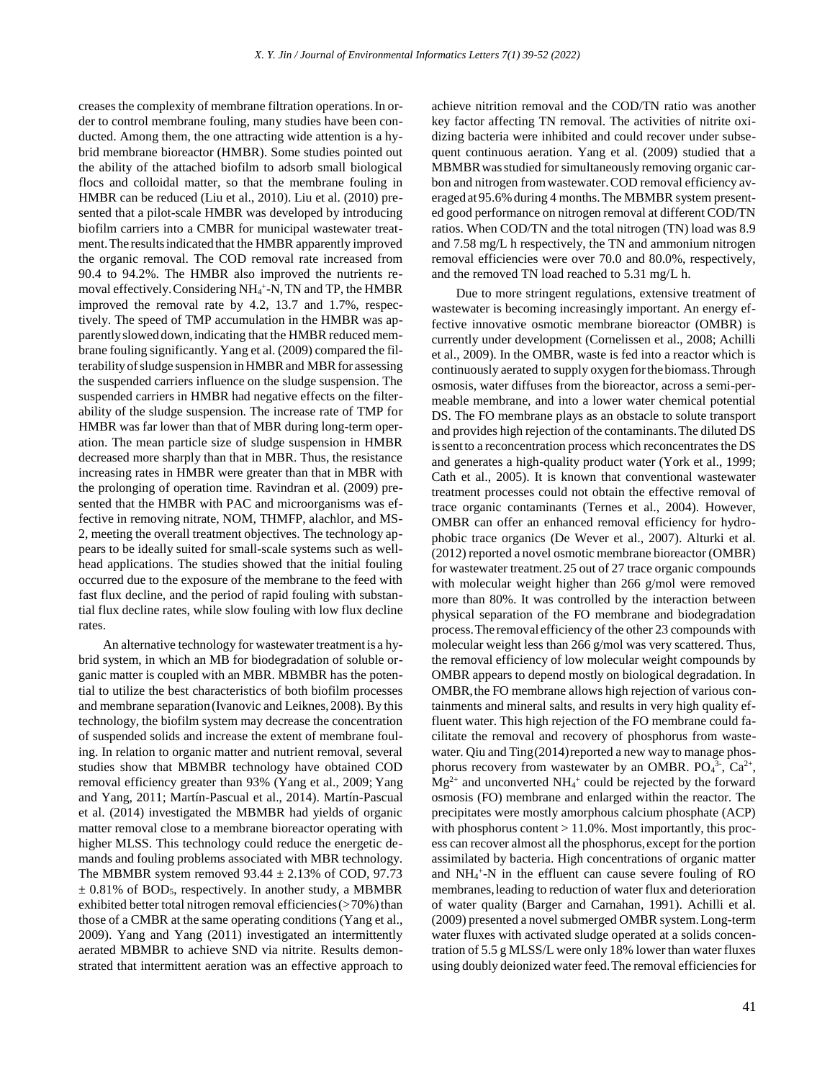creases the complexity of membrane filtration operations.In order to control membrane fouling, many studies have been conducted. Among them, the one attracting wide attention is a hybrid membrane bioreactor (HMBR). Some studies pointed out the ability of the attached biofilm to adsorb small biological flocs and colloidal matter, so that the membrane fouling in HMBR can be reduced (Liu et al., 2010). Liu et al. (2010) presented that a pilot-scale HMBR was developed by introducing biofilm carriers into a CMBR for municipal wastewater treatment.The resultsindicated that the HMBR apparently improved the organic removal. The COD removal rate increased from 90.4 to 94.2%. The HMBR also improved the nutrients removal effectively. Considering NH<sub>4</sub><sup>+</sup>-N, TN and TP, the HMBR improved the removal rate by 4.2, 13.7 and 1.7%, respectively. The speed of TMP accumulation in the HMBR was apparently slowed down, indicating that the HMBR reduced membrane fouling significantly. Yang et al. (2009) compared the filterability of sludge suspension in HMBR and MBR for assessing the suspended carriers influence on the sludge suspension. The suspended carriers in HMBR had negative effects on the filterability of the sludge suspension. The increase rate of TMP for HMBR was far lower than that of MBR during long-term operation. The mean particle size of sludge suspension in HMBR decreased more sharply than that in MBR. Thus, the resistance increasing rates in HMBR were greater than that in MBR with the prolonging of operation time. Ravindran et al. (2009) presented that the HMBR with PAC and microorganisms was effective in removing nitrate, NOM, THMFP, alachlor, and MS-2, meeting the overall treatment objectives. The technology appears to be ideally suited for small-scale systems such as wellhead applications. The studies showed that the initial fouling occurred due to the exposure of the membrane to the feed with fast flux decline, and the period of rapid fouling with substantial flux decline rates, while slow fouling with low flux decline rates.

An alternative technology for wastewater treatment is a hybrid system, in which an MB for biodegradation of soluble organic matter is coupled with an MBR. MBMBR has the potential to utilize the best characteristics of both biofilm processes and membrane separation(Ivanovic and Leiknes, 2008). By this technology, the biofilm system may decrease the concentration of suspended solids and increase the extent of membrane fouling. In relation to organic matter and nutrient removal, several studies show that MBMBR technology have obtained COD removal efficiency greater than 93% (Yang et al., 2009; Yang and Yang, 2011; Martín-Pascual et al., 2014). Martín-Pascual et al. (2014) investigated the MBMBR had yields of organic matter removal close to a membrane bioreactor operating with higher MLSS. This technology could reduce the energetic demands and fouling problems associated with MBR technology. The MBMBR system removed  $93.44 \pm 2.13\%$  of COD, 97.73  $\pm$  0.81% of BOD<sub>5</sub>, respectively. In another study, a MBMBR exhibited better total nitrogen removal efficiencies  $($ >70%) than those of a CMBR at the same operating conditions (Yang et al., 2009). Yang and Yang (2011) investigated an intermittently aerated MBMBR to achieve SND via nitrite. Results demonstrated that intermittent aeration was an effective approach to achieve nitrition removal and the COD/TN ratio was another key factor affecting TN removal. The activities of nitrite oxidizing bacteria were inhibited and could recover under subsequent continuous aeration. Yang et al. (2009) studied that a MBMBRwasstudied for simultaneously removing organic carbon and nitrogen fromwastewater.COD removal efficiency averaged at 95.6% during 4 months. The MBMBR system presented good performance on nitrogen removal at different COD/TN ratios. When COD/TN and the total nitrogen (TN) load was 8.9 and 7.58 mg/L h respectively, the TN and ammonium nitrogen removal efficiencies were over 70.0 and 80.0%, respectively, and the removed TN load reached to 5.31 mg/L h.

Due to more stringent regulations, extensive treatment of wastewater is becoming increasingly important. An energy effective innovative osmotic membrane bioreactor (OMBR) is currently under development (Cornelissen et al., 2008; Achilli et al., 2009). In the OMBR, waste is fed into a reactor which is continuously aerated to supply oxygen forthebiomass.Through osmosis, water diffuses from the bioreactor, across a semi-permeable membrane, and into a lower water chemical potential DS. The FO membrane plays as an obstacle to solute transport and provides high rejection of the contaminants.The diluted DS issentto a reconcentration process which reconcentrates the DS and generates a high-quality product water (York et al., 1999; Cath et al., 2005). It is known that conventional wastewater treatment processes could not obtain the effective removal of trace organic contaminants (Ternes et al., 2004). However, OMBR can offer an enhanced removal efficiency for hydrophobic trace organics (De Wever et al., 2007). Alturki et al. (2012) reported a novel osmotic membrane bioreactor (OMBR) for wastewater treatment.25 out of 27 trace organic compounds with molecular weight higher than 266 g/mol were removed more than 80%. It was controlled by the interaction between physical separation of the FO membrane and biodegradation process.The removal efficiency of the other 23 compounds with molecular weight less than 266 g/mol was very scattered. Thus, the removal efficiency of low molecular weight compounds by OMBR appears to depend mostly on biological degradation. In OMBR,the FO membrane allows high rejection of various containments and mineral salts, and results in very high quality effluent water. This high rejection of the FO membrane could facilitate the removal and recovery of phosphorus from wastewater. Qiu and Ting(2014) reported a new way to manage phosphorus recovery from wastewater by an OMBR.  $PO<sub>4</sub><sup>3</sup>$ ,  $Ca<sup>2+</sup>$ ,  $Mg^{2+}$  and unconverted NH<sub>4</sub><sup>+</sup> could be rejected by the forward osmosis (FO) membrane and enlarged within the reactor. The precipitates were mostly amorphous calcium phosphate (ACP) with phosphorus content  $> 11.0\%$ . Most importantly, this process can recover almost all the phosphorus, except for the portion assimilated by bacteria. High concentrations of organic matter and NH<sup>4</sup> + -N in the effluent can cause severe fouling of RO membranes, leading to reduction of water flux and deterioration of water quality (Barger and Carnahan, 1991). Achilli et al. (2009) presented a novel submerged OMBR system.Long-term water fluxes with activated sludge operated at a solids concentration of 5.5 g MLSS/L were only 18% lower than water fluxes using doubly deionized water feed.The removal efficiencies for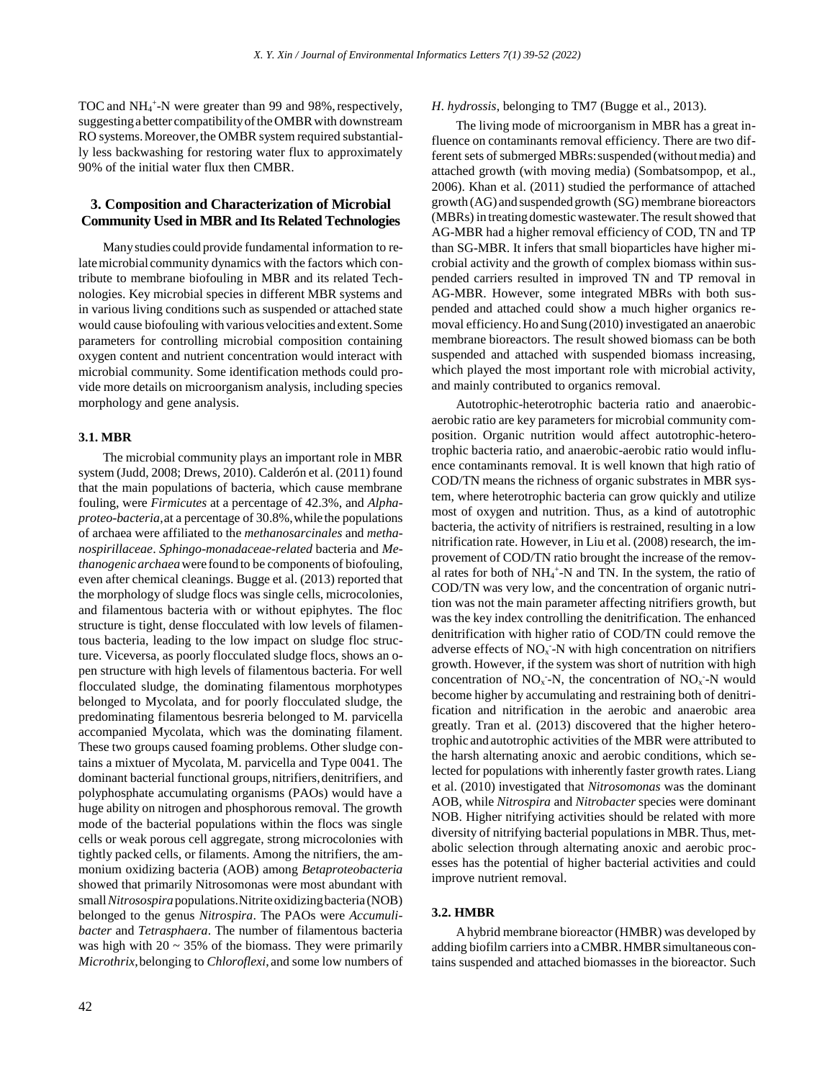TOC and NH<sub>4</sub><sup>+</sup>-N were greater than 99 and 98%, respectively, suggesting a better compatibilityoftheOMBRwith downstream RO systems.Moreover,the OMBR system required substantially less backwashing for restoring water flux to approximately 90% of the initial water flux then CMBR.

### **3. Composition and Characterization of Microbial Community Used in MBR and Its Related Technologies**

Manystudies could provide fundamental information to relatemicrobial community dynamics with the factors which contribute to membrane biofouling in MBR and its related Technologies. Key microbial species in different MBR systems and in various living conditions such as suspended or attached state would cause biofouling with various velocities and extent.Some parameters for controlling microbial composition containing oxygen content and nutrient concentration would interact with microbial community. Some identification methods could provide more details on microorganism analysis, including species morphology and gene analysis.

#### **3.1. MBR**

The microbial community plays an important role in MBR system (Judd, 2008; Drews, 2010). Calderón et al. (2011) found that the main populations of bacteria, which cause membrane fouling, were *Firmicutes* at a percentage of 42.3%, and *Alphaproteo*-*bacteria*,at a percentage of 30.8%,while the populations of archaea were affiliated to the *methanosarcinales* and *methanospirillaceae*. *Sphingo*-*monadaceae*-*related* bacteria and *Methanogenicarchaea*were found to be components of biofouling, even after chemical cleanings. Bugge et al. (2013) reported that the morphology of sludge flocs was single cells, microcolonies, and filamentous bacteria with or without epiphytes. The floc structure is tight, dense flocculated with low levels of filamentous bacteria, leading to the low impact on sludge floc structure. Viceversa, as poorly flocculated sludge flocs, shows an open structure with high levels of filamentous bacteria. For well flocculated sludge, the dominating filamentous morphotypes belonged to Mycolata, and for poorly flocculated sludge, the predominating filamentous besreria belonged to M. parvicella accompanied Mycolata, which was the dominating filament. These two groups caused foaming problems. Other sludge contains a mixtuer of Mycolata, M. parvicella and Type 0041. The dominant bacterial functional groups, nitrifiers, denitrifiers, and polyphosphate accumulating organisms (PAOs) would have a huge ability on nitrogen and phosphorous removal. The growth mode of the bacterial populations within the flocs was single cells or weak porous cell aggregate, strong microcolonies with tightly packed cells, or filaments. Among the nitrifiers, the ammonium oxidizing bacteria (AOB) among *Betaproteobacteria* showed that primarily Nitrosomonas were most abundant with small*Nitrosospira*populations.Nitriteoxidizingbacteria (NOB) belonged to the genus *Nitrospira*. The PAOs were *Accumulibacter* and *Tetrasphaera*. The number of filamentous bacteria was high with  $20 \sim 35\%$  of the biomass. They were primarily *Microthrix*,belonging to *Chloroflexi*, and some low numbers of

# *H*. *hydrossis*, belonging to TM7 (Bugge et al., 2013).

The living mode of microorganism in MBR has a great influence on contaminants removal efficiency. There are two different sets of submerged MBRs: suspended (without media) and attached growth (with moving media) (Sombatsompop, et al., 2006). Khan et al. (2011) studied the performance of attached growth (AG) and suspended growth (SG) membrane bioreactors (MBRs) in treatingdomesticwastewater.The result showed that AG-MBR had a higher removal efficiency of COD, TN and TP than SG-MBR. It infers that small bioparticles have higher microbial activity and the growth of complex biomass within suspended carriers resulted in improved TN and TP removal in AG-MBR. However, some integrated MBRs with both suspended and attached could show a much higher organics removal efficiency. Ho and Sung (2010) investigated an anaerobic membrane bioreactors. The result showed biomass can be both suspended and attached with suspended biomass increasing, which played the most important role with microbial activity, and mainly contributed to organics removal.

Autotrophic-heterotrophic bacteria ratio and anaerobicaerobic ratio are key parameters for microbial community composition. Organic nutrition would affect autotrophic-heterotrophic bacteria ratio, and anaerobic-aerobic ratio would influence contaminants removal. It is well known that high ratio of COD/TN means the richness of organic substrates in MBR system, where heterotrophic bacteria can grow quickly and utilize most of oxygen and nutrition. Thus, as a kind of autotrophic bacteria, the activity of nitrifiers is restrained, resulting in a low nitrification rate. However, in Liu et al. (2008) research, the improvement of COD/TN ratio brought the increase of the removal rates for both of NH<sub>4</sub><sup>+</sup>-N and TN. In the system, the ratio of COD/TN was very low, and the concentration of organic nutrition was not the main parameter affecting nitrifiers growth, but was the key index controlling the denitrification. The enhanced denitrification with higher ratio of COD/TN could remove the adverse effects of NO<sub>x</sub>-N with high concentration on nitrifiers growth. However, if the system was short of nutrition with high concentration of  $NO<sub>x</sub>$ -N, the concentration of  $NO<sub>x</sub>$ -N would become higher by accumulating and restraining both of denitrification and nitrification in the aerobic and anaerobic area greatly. Tran et al. (2013) discovered that the higher heterotrophic and autotrophic activities of the MBR were attributed to the harsh alternating anoxic and aerobic conditions, which selected for populations with inherently faster growth rates.Liang et al. (2010) investigated that *Nitrosomonas* was the dominant AOB, while *Nitrospira* and *Nitrobacter* species were dominant NOB. Higher nitrifying activities should be related with more diversity of nitrifying bacterial populations in MBR.Thus, metabolic selection through alternating anoxic and aerobic processes has the potential of higher bacterial activities and could improve nutrient removal.

### **3.2. HMBR**

Ahybrid membrane bioreactor (HMBR) was developed by adding biofilm carriers into a CMBR. HMBR simultaneous contains suspended and attached biomasses in the bioreactor. Such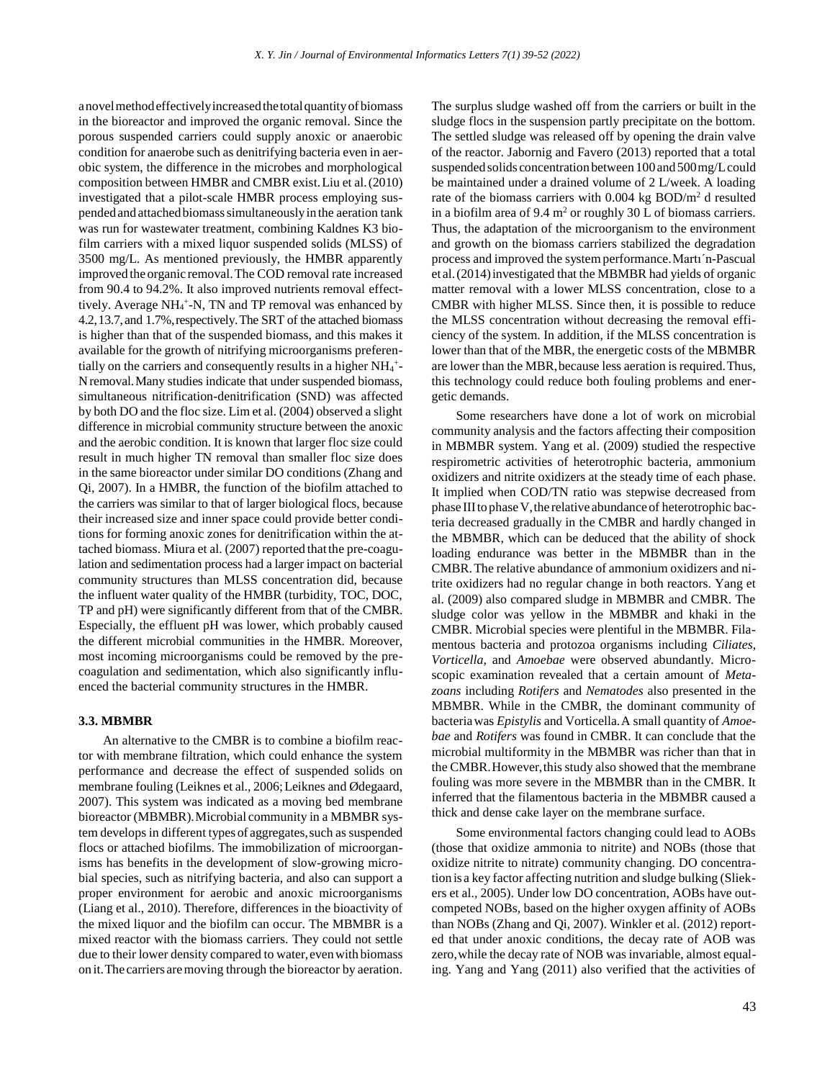anovelmethodeffectivelyincreasedthetotalquantityofbiomass in the bioreactor and improved the organic removal. Since the porous suspended carriers could supply anoxic or anaerobic condition for anaerobe such as denitrifying bacteria even in aerobic system, the difference in the microbes and morphological composition between HMBR and CMBR exist.Liu et al.(2010) investigated that a pilot-scale HMBR process employing suspended and attached biomass simultaneously in the aeration tank was run for wastewater treatment, combining Kaldnes K3 biofilm carriers with a mixed liquor suspended solids (MLSS) of 3500 mg/L. As mentioned previously, the HMBR apparently improved the organic removal.The COD removal rate increased from 90.4 to 94.2%. It also improved nutrients removal effecttively. Average NH<sub>4</sub><sup>+</sup>-N, TN and TP removal was enhanced by 4.2,13.7, and 1.7%,respectively.The SRT of the attached biomass is higher than that of the suspended biomass, and this makes it available for the growth of nitrifying microorganisms preferentially on the carriers and consequently results in a higher  $NH_4$ <sup>+</sup>-Nremoval.Many studies indicate that under suspended biomass, simultaneous nitrification-denitrification (SND) was affected by both DO and the floc size. Lim et al. (2004) observed a slight difference in microbial community structure between the anoxic and the aerobic condition. It is known that larger floc size could result in much higher TN removal than smaller floc size does in the same bioreactor under similar DO conditions (Zhang and Qi, 2007). In a HMBR, the function of the biofilm attached to the carriers was similar to that of larger biological flocs, because their increased size and inner space could provide better conditions for forming anoxic zones for denitrification within the attached biomass. Miura et al. (2007) reported that the pre-coagulation and sedimentation process had a larger impact on bacterial community structures than MLSS concentration did, because the influent water quality of the HMBR (turbidity, TOC, DOC, TP and pH) were significantly different from that of the CMBR. Especially, the effluent pH was lower, which probably caused the different microbial communities in the HMBR. Moreover, most incoming microorganisms could be removed by the precoagulation and sedimentation, which also significantly influenced the bacterial community structures in the HMBR.

#### **3.3. MBMBR**

An alternative to the CMBR is to combine a biofilm reactor with membrane filtration, which could enhance the system performance and decrease the effect of suspended solids on membrane fouling (Leiknes et al., 2006; Leiknes and Ødegaard, 2007). This system was indicated as a moving bed membrane bioreactor (MBMBR).Microbial community in a MBMBR system develops in different types of aggregates, such as suspended flocs or attached biofilms. The immobilization of microorganisms has benefits in the development of slow-growing microbial species, such as nitrifying bacteria, and also can support a proper environment for aerobic and anoxic microorganisms (Liang et al., 2010). Therefore, differences in the bioactivity of the mixed liquor and the biofilm can occur. The MBMBR is a mixed reactor with the biomass carriers. They could not settle due to their lower density compared to water,evenwith biomass on it.The carriers aremoving through the bioreactor by aeration.

The surplus sludge washed off from the carriers or built in the sludge flocs in the suspension partly precipitate on the bottom. The settled sludge was released off by opening the drain valve of the reactor. Jabornig and Favero (2013) reported that a total suspended solids concentration between 100 and 500 mg/L could be maintained under a drained volume of 2 L/week. A loading rate of the biomass carriers with  $0.004$  kg BOD/m<sup>2</sup> d resulted in a biofilm area of 9.4  $m<sup>2</sup>$  or roughly 30 L of biomass carriers. Thus, the adaptation of the microorganism to the environment and growth on the biomass carriers stabilized the degradation process and improved the systemperformance.Martı´n-Pascual et al.(2014)investigated that the MBMBR had yields of organic matter removal with a lower MLSS concentration, close to a CMBR with higher MLSS. Since then, it is possible to reduce the MLSS concentration without decreasing the removal efficiency of the system. In addition, if the MLSS concentration is lower than that of the MBR, the energetic costs of the MBMBR are lower than the MBR,because less aeration is required.Thus, this technology could reduce both fouling problems and energetic demands.

Some researchers have done a lot of work on microbial community analysis and the factors affecting their composition in MBMBR system. Yang et al. (2009) studied the respective respirometric activities of heterotrophic bacteria, ammonium oxidizers and nitrite oxidizers at the steady time of each phase. It implied when COD/TN ratio was stepwise decreased from phase III to phase V, the relative abundance of heterotrophic bacteria decreased gradually in the CMBR and hardly changed in the MBMBR, which can be deduced that the ability of shock loading endurance was better in the MBMBR than in the CMBR.The relative abundance of ammonium oxidizers and nitrite oxidizers had no regular change in both reactors. Yang et al. (2009) also compared sludge in MBMBR and CMBR. The sludge color was yellow in the MBMBR and khaki in the CMBR. Microbial species were plentiful in the MBMBR. Filamentous bacteria and protozoa organisms including *Ciliates*, *Vorticella*, and *Amoebae* were observed abundantly. Microscopic examination revealed that a certain amount of *Metazoans* including *Rotifers* and *Nematodes* also presented in the MBMBR. While in the CMBR, the dominant community of bacteriawas *Epistylis* and Vorticella.A small quantity of *Amoebae* and *Rotifers* was found in CMBR. It can conclude that the microbial multiformity in the MBMBR was richer than that in the CMBR.However,this study also showed that the membrane fouling was more severe in the MBMBR than in the CMBR. It inferred that the filamentous bacteria in the MBMBR caused a thick and dense cake layer on the membrane surface.

Some environmental factors changing could lead to AOBs (those that oxidize ammonia to nitrite) and NOBs (those that oxidize nitrite to nitrate) community changing. DO concentration is a key factor affecting nutrition and sludge bulking (Sliekers et al., 2005). Under low DO concentration, AOBs have outcompeted NOBs, based on the higher oxygen affinity of AOBs than NOBs (Zhang and Qi, 2007). Winkler et al. (2012) reported that under anoxic conditions, the decay rate of AOB was zero,while the decay rate of NOB was invariable, almost equaling. Yang and Yang (2011) also verified that the activities of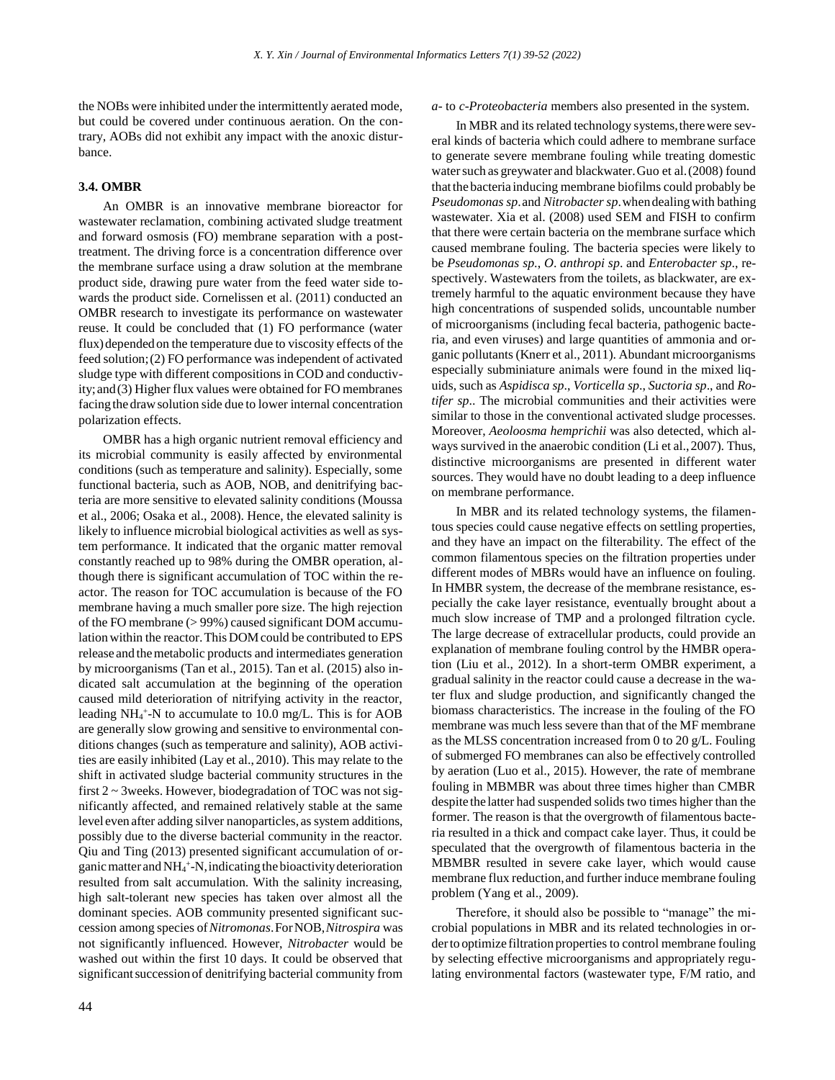the NOBs were inhibited under the intermittently aerated mode, but could be covered under continuous aeration. On the contrary, AOBs did not exhibit any impact with the anoxic disturbance.

#### **3.4. OMBR**

An OMBR is an innovative membrane bioreactor for wastewater reclamation, combining activated sludge treatment and forward osmosis (FO) membrane separation with a posttreatment. The driving force is a concentration difference over the membrane surface using a draw solution at the membrane product side, drawing pure water from the feed water side towards the product side. Cornelissen et al. (2011) conducted an OMBR research to investigate its performance on wastewater reuse. It could be concluded that (1) FO performance (water flux) depended on the temperature due to viscosity effects of the feed solution;(2) FO performance was independent of activated sludge type with different compositions in COD and conductivity;and(3) Higher flux values were obtained for FO membranes facing the draw solution side due to lower internal concentration polarization effects.

OMBR has a high organic nutrient removal efficiency and its microbial community is easily affected by environmental conditions (such as temperature and salinity). Especially, some functional bacteria, such as AOB, NOB, and denitrifying bacteria are more sensitive to elevated salinity conditions (Moussa et al., 2006; Osaka et al., 2008). Hence, the elevated salinity is likely to influence microbial biological activities as well as system performance. It indicated that the organic matter removal constantly reached up to 98% during the OMBR operation, although there is significant accumulation of TOC within the reactor. The reason for TOC accumulation is because of the FO membrane having a much smaller pore size. The high rejection of the FO membrane (> 99%) caused significant DOM accumulation within the reactor. This DOM could be contributed to EPS release and themetabolic products and intermediates generation by microorganisms (Tan et al., 2015). Tan et al. (2015) also indicated salt accumulation at the beginning of the operation caused mild deterioration of nitrifying activity in the reactor, leading NH<sub>4</sub><sup>+</sup>-N to accumulate to 10.0 mg/L. This is for AOB are generally slow growing and sensitive to environmental conditions changes (such as temperature and salinity), AOB activities are easily inhibited (Lay et al., 2010). This may relate to the shift in activated sludge bacterial community structures in the first  $2 \sim 3$  weeks. However, biodegradation of TOC was not significantly affected, and remained relatively stable at the same level even after adding silver nanoparticles, as system additions, possibly due to the diverse bacterial community in the reactor. Qiu and Ting (2013) presented significant accumulation of organic matter and NH<sub>4</sub><sup>+</sup>-N, indicating the bioactivity deterioration resulted from salt accumulation. With the salinity increasing, high salt-tolerant new species has taken over almost all the dominant species. AOB community presented significant succession among species of*Nitromonas*.ForNOB,*Nitrospira* was not significantly influenced. However, *Nitrobacter* would be washed out within the first 10 days. It could be observed that significant succession of denitrifying bacterial community from

#### *a*- to *c*-*Proteobacteria* members also presented in the system.

In MBR and its related technology systems, there were several kinds of bacteria which could adhere to membrane surface to generate severe membrane fouling while treating domestic water such as greywater and blackwater. Guo et al. (2008) found thatthe bacteria inducing membrane biofilms could probably be *Pseudomonas sp*.and *Nitrobacter sp*.whendealingwith bathing wastewater. Xia et al. (2008) used SEM and FISH to confirm that there were certain bacteria on the membrane surface which caused membrane fouling. The bacteria species were likely to be *Pseudomonas sp*., *O*. *anthropi sp*. and *Enterobacter sp*., respectively. Wastewaters from the toilets, as blackwater, are extremely harmful to the aquatic environment because they have high concentrations of suspended solids, uncountable number of microorganisms (including fecal bacteria, pathogenic bacteria, and even viruses) and large quantities of ammonia and organic pollutants (Knerr et al., 2011). Abundant microorganisms especially subminiature animals were found in the mixed liquids, such as *Aspidisca sp*., *Vorticella sp*., *Suctoria sp*., and *Rotifer sp*.. The microbial communities and their activities were similar to those in the conventional activated sludge processes. Moreover, *Aeoloosma hemprichii* was also detected, which always survived in the anaerobic condition (Li et al.,2007). Thus, distinctive microorganisms are presented in different water sources. They would have no doubt leading to a deep influence on membrane performance.

In MBR and its related technology systems, the filamentous species could cause negative effects on settling properties, and they have an impact on the filterability. The effect of the common filamentous species on the filtration properties under different modes of MBRs would have an influence on fouling. In HMBR system, the decrease of the membrane resistance, especially the cake layer resistance, eventually brought about a much slow increase of TMP and a prolonged filtration cycle. The large decrease of extracellular products, could provide an explanation of membrane fouling control by the HMBR operation (Liu et al., 2012). In a short-term OMBR experiment, a gradual salinity in the reactor could cause a decrease in the water flux and sludge production, and significantly changed the biomass characteristics. The increase in the fouling of the FO membrane was much less severe than that of the MF membrane as the MLSS concentration increased from 0 to 20 g/L. Fouling of submerged FO membranes can also be effectively controlled by aeration (Luo et al., 2015). However, the rate of membrane fouling in MBMBR was about three times higher than CMBR despite the latter had suspended solids two times higher than the former. The reason is that the overgrowth of filamentous bacteria resulted in a thick and compact cake layer. Thus, it could be speculated that the overgrowth of filamentous bacteria in the MBMBR resulted in severe cake layer, which would cause membrane flux reduction,and further induce membrane fouling problem (Yang et al., 2009).

Therefore, it should also be possible to "manage" the microbial populations in MBR and its related technologies in orderto optimize filtration properties to control membrane fouling by selecting effective microorganisms and appropriately regulating environmental factors (wastewater type, F/M ratio, and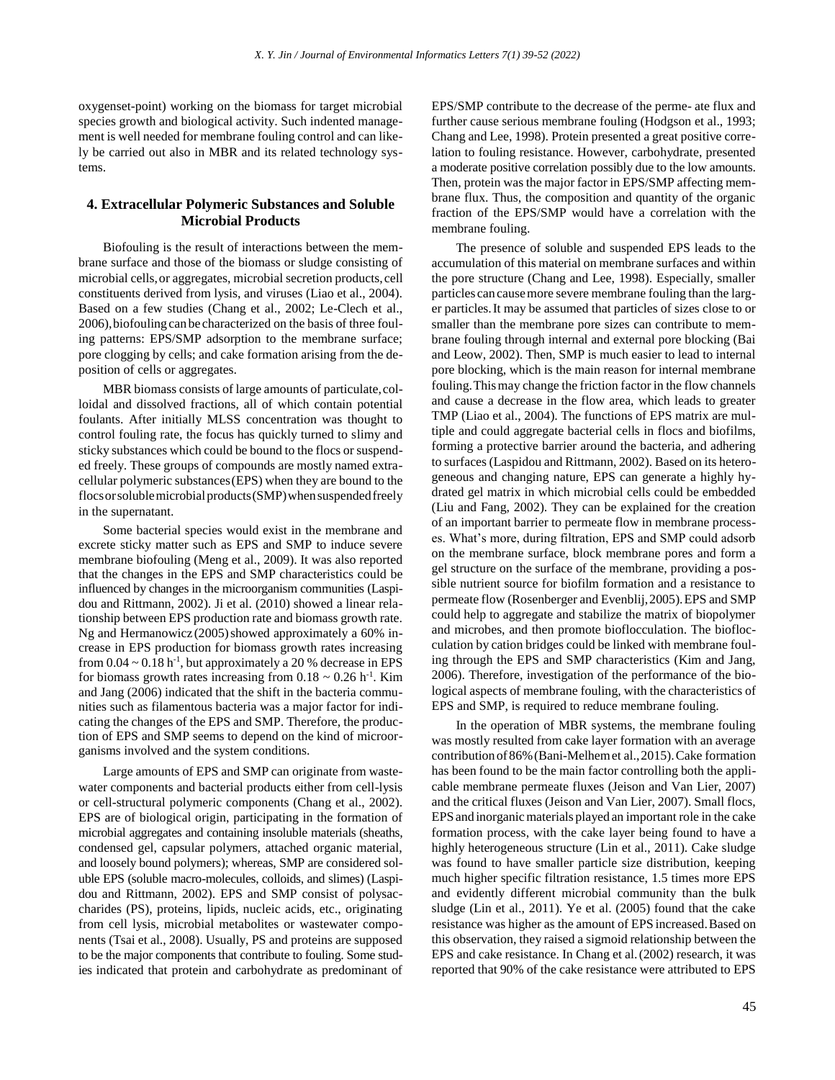oxygenset-point) working on the biomass for target microbial species growth and biological activity. Such indented management is well needed for membrane fouling control and can likely be carried out also in MBR and its related technology systems.

### **4. Extracellular Polymeric Substances and Soluble Microbial Products**

Biofouling is the result of interactions between the membrane surface and those of the biomass or sludge consisting of microbial cells,or aggregates, microbial secretion products, cell constituents derived from lysis, and viruses (Liao et al., 2004). Based on a few studies (Chang et al., 2002; Le-Clech et al., 2006),biofouling can be characterized on the basis of three fouling patterns: EPS/SMP adsorption to the membrane surface; pore clogging by cells; and cake formation arising from the deposition of cells or aggregates.

MBR biomass consists of large amounts of particulate,colloidal and dissolved fractions, all of which contain potential foulants. After initially MLSS concentration was thought to control fouling rate, the focus has quickly turned to slimy and sticky substances which could be bound to the flocs or suspended freely. These groups of compounds are mostly named extracellular polymeric substances(EPS) when they are bound to the flocs or soluble microbial products (SMP) when suspended freely in the supernatant.

Some bacterial species would exist in the membrane and excrete sticky matter such as EPS and SMP to induce severe membrane biofouling (Meng et al., 2009). It was also reported that the changes in the EPS and SMP characteristics could be influenced by changes in the microorganism communities (Laspidou and Rittmann, 2002). Ji et al. (2010) showed a linear relationship between EPS production rate and biomass growth rate. Ng and Hermanowicz  $(2005)$  showed approximately a 60% increase in EPS production for biomass growth rates increasing from  $0.04 \sim 0.18$  h<sup>-1</sup>, but approximately a 20 % decrease in EPS for biomass growth rates increasing from  $0.18 \sim 0.26$  h<sup>-1</sup>. Kim and Jang (2006) indicated that the shift in the bacteria communities such as filamentous bacteria was a major factor for indicating the changes of the EPS and SMP. Therefore, the production of EPS and SMP seems to depend on the kind of microorganisms involved and the system conditions.

Large amounts of EPS and SMP can originate from wastewater components and bacterial products either from cell-lysis or cell-structural polymeric components (Chang et al., 2002). EPS are of biological origin, participating in the formation of microbial aggregates and containing insoluble materials (sheaths, condensed gel, capsular polymers, attached organic material, and loosely bound polymers); whereas, SMP are considered soluble EPS (soluble macro-molecules, colloids, and slimes) (Laspidou and Rittmann, 2002). EPS and SMP consist of polysaccharides (PS), proteins, lipids, nucleic acids, etc., originating from cell lysis, microbial metabolites or wastewater components (Tsai et al., 2008). Usually, PS and proteins are supposed to be the major components that contribute to fouling. Some studies indicated that protein and carbohydrate as predominant of EPS/SMP contribute to the decrease of the perme- ate flux and further cause serious membrane fouling (Hodgson et al., 1993; Chang and Lee, 1998). Protein presented a great positive correlation to fouling resistance. However, carbohydrate, presented a moderate positive correlation possibly due to the low amounts. Then, protein was the major factor in EPS/SMP affecting membrane flux. Thus, the composition and quantity of the organic fraction of the EPS/SMP would have a correlation with the membrane fouling.

The presence of soluble and suspended EPS leads to the accumulation of this material on membrane surfaces and within the pore structure (Chang and Lee, 1998). Especially, smaller particles can causemore severe membrane fouling than the larger particles.It may be assumed that particles of sizes close to or smaller than the membrane pore sizes can contribute to membrane fouling through internal and external pore blocking (Bai and Leow, 2002). Then, SMP is much easier to lead to internal pore blocking, which is the main reason for internal membrane fouling.Thismay change the friction factor in the flow channels and cause a decrease in the flow area, which leads to greater TMP (Liao et al., 2004). The functions of EPS matrix are multiple and could aggregate bacterial cells in flocs and biofilms, forming a protective barrier around the bacteria, and adhering to surfaces (Laspidou and Rittmann, 2002). Based on its heterogeneous and changing nature, EPS can generate a highly hydrated gel matrix in which microbial cells could be embedded (Liu and Fang, 2002). They can be explained for the creation of an important barrier to permeate flow in membrane processes. What's more, during filtration, EPS and SMP could adsorb on the membrane surface, block membrane pores and form a gel structure on the surface of the membrane, providing a possible nutrient source for biofilm formation and a resistance to permeate flow (Rosenberger and Evenblij,2005).EPS and SMP could help to aggregate and stabilize the matrix of biopolymer and microbes, and then promote bioflocculation. The bioflocculation by cation bridges could be linked with membrane fouling through the EPS and SMP characteristics (Kim and Jang, 2006). Therefore, investigation of the performance of the biological aspects of membrane fouling, with the characteristics of EPS and SMP, is required to reduce membrane fouling.

In the operation of MBR systems, the membrane fouling was mostly resulted from cake layer formation with an average contribution of86%(Bani-Melhemet al.,2015).Cake formation has been found to be the main factor controlling both the applicable membrane permeate fluxes (Jeison and Van Lier, 2007) and the critical fluxes (Jeison and Van Lier, 2007). Small flocs, EPS and inorganic materials played an important role in the cake formation process, with the cake layer being found to have a highly heterogeneous structure (Lin et al., 2011). Cake sludge was found to have smaller particle size distribution, keeping much higher specific filtration resistance, 1.5 times more EPS and evidently different microbial community than the bulk sludge (Lin et al., 2011). Ye et al. (2005) found that the cake resistance was higher as the amount of EPS increased.Based on this observation, they raised a sigmoid relationship between the EPS and cake resistance. In Chang et al.(2002) research, it was reported that 90% of the cake resistance were attributed to EPS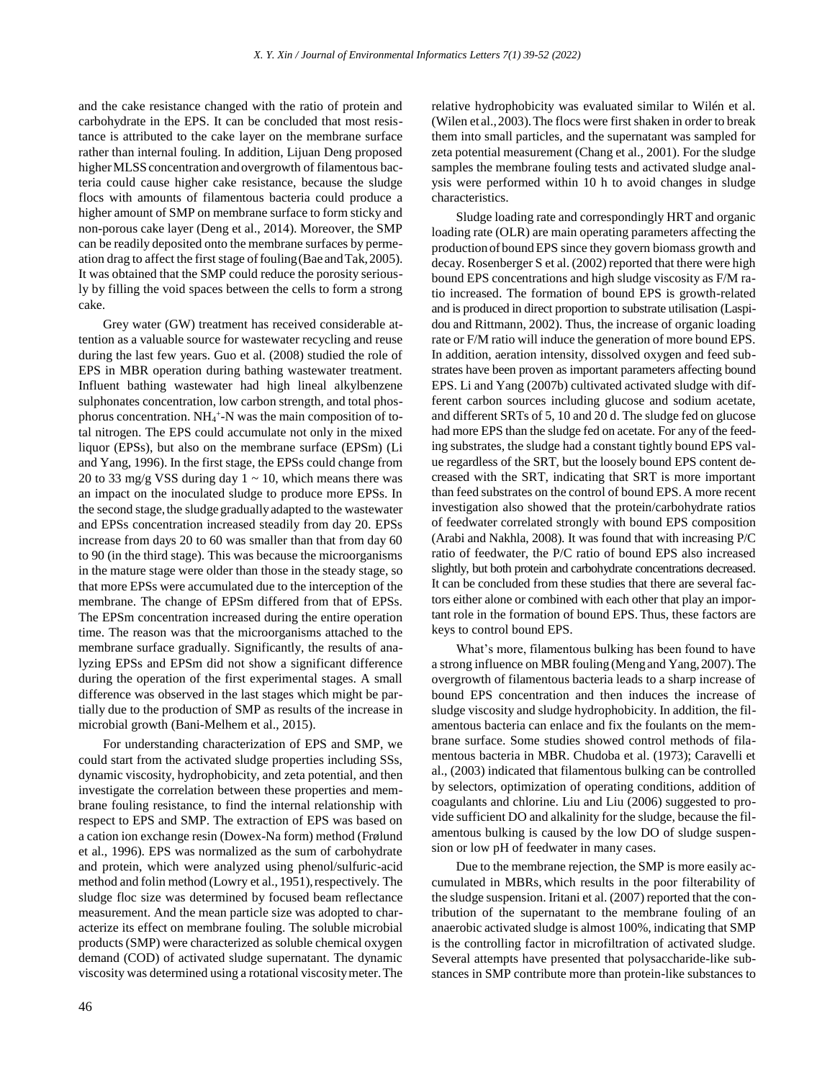and the cake resistance changed with the ratio of protein and carbohydrate in the EPS. It can be concluded that most resistance is attributed to the cake layer on the membrane surface rather than internal fouling. In addition, Lijuan Deng proposed higher MLSS concentration and overgrowth of filamentous bacteria could cause higher cake resistance, because the sludge flocs with amounts of filamentous bacteria could produce a higher amount of SMP on membrane surface to form sticky and non-porous cake layer (Deng et al., 2014). Moreover, the SMP can be readily deposited onto the membrane surfaces by permeation drag to affect the first stage offouling(Bae andTak,2005). It was obtained that the SMP could reduce the porosity seriously by filling the void spaces between the cells to form a strong cake.

Grey water (GW) treatment has received considerable attention as a valuable source for wastewater recycling and reuse during the last few years. Guo et al. (2008) studied the role of EPS in MBR operation during bathing wastewater treatment. Influent bathing wastewater had high lineal alkylbenzene sulphonates concentration, low carbon strength, and total phosphorus concentration. NH<sub>4</sub><sup>+</sup>-N was the main composition of total nitrogen. The EPS could accumulate not only in the mixed liquor (EPSs), but also on the membrane surface (EPSm) (Li and Yang, 1996). In the first stage, the EPSs could change from 20 to 33 mg/g VSS during day  $1 \sim 10$ , which means there was an impact on the inoculated sludge to produce more EPSs. In the second stage, the sludge gradually adapted to the wastewater and EPSs concentration increased steadily from day 20. EPSs increase from days 20 to 60 was smaller than that from day 60 to 90 (in the third stage). This was because the microorganisms in the mature stage were older than those in the steady stage, so that more EPSs were accumulated due to the interception of the membrane. The change of EPSm differed from that of EPSs. The EPSm concentration increased during the entire operation time. The reason was that the microorganisms attached to the membrane surface gradually. Significantly, the results of analyzing EPSs and EPSm did not show a significant difference during the operation of the first experimental stages. A small difference was observed in the last stages which might be partially due to the production of SMP as results of the increase in microbial growth (Bani-Melhem et al., 2015).

For understanding characterization of EPS and SMP, we could start from the activated sludge properties including SSs, dynamic viscosity, hydrophobicity, and zeta potential, and then investigate the correlation between these properties and membrane fouling resistance, to find the internal relationship with respect to EPS and SMP. The extraction of EPS was based on a cation ion exchange resin (Dowex-Na form) method (Frølund et al., 1996). EPS was normalized as the sum of carbohydrate and protein, which were analyzed using phenol/sulfuric-acid method and folin method (Lowry et al., 1951), respectively. The sludge floc size was determined by focused beam reflectance measurement. And the mean particle size was adopted to characterize its effect on membrane fouling. The soluble microbial products (SMP) were characterized as soluble chemical oxygen demand (COD) of activated sludge supernatant. The dynamic viscosity was determined using a rotational viscositymeter.The relative hydrophobicity was evaluated similar to Wilén et al. (Wilen et al.,2003).The flocs were first shaken in order to break them into small particles, and the supernatant was sampled for zeta potential measurement (Chang et al., 2001). For the sludge samples the membrane fouling tests and activated sludge analysis were performed within 10 h to avoid changes in sludge characteristics.

Sludge loading rate and correspondingly HRT and organic loading rate (OLR) are main operating parameters affecting the production ofboundEPS since they govern biomass growth and decay. Rosenberger S et al. (2002) reported that there were high bound EPS concentrations and high sludge viscosity as F/M ratio increased. The formation of bound EPS is growth-related and is produced in direct proportion to substrate utilisation (Laspidou and Rittmann, 2002). Thus, the increase of organic loading rate or F/M ratio will induce the generation of more bound EPS. In addition, aeration intensity, dissolved oxygen and feed substrates have been proven as important parameters affecting bound EPS. Li and Yang (2007b) cultivated activated sludge with different carbon sources including glucose and sodium acetate, and different SRTs of 5, 10 and 20 d. The sludge fed on glucose had more EPS than the sludge fed on acetate. For any of the feeding substrates, the sludge had a constant tightly bound EPS value regardless of the SRT, but the loosely bound EPS content decreased with the SRT, indicating that SRT is more important than feed substrates on the control of bound EPS.A more recent investigation also showed that the protein/carbohydrate ratios of feedwater correlated strongly with bound EPS composition (Arabi and Nakhla, 2008). It was found that with increasing P/C ratio of feedwater, the P/C ratio of bound EPS also increased slightly, but both protein and carbohydrate concentrations decreased. It can be concluded from these studies that there are several factors either alone or combined with each other that play an important role in the formation of bound EPS.Thus, these factors are keys to control bound EPS.

What's more, filamentous bulking has been found to have a strong influence on MBR fouling (Mengand Yang,2007).The overgrowth of filamentous bacteria leads to a sharp increase of bound EPS concentration and then induces the increase of sludge viscosity and sludge hydrophobicity. In addition, the filamentous bacteria can enlace and fix the foulants on the membrane surface. Some studies showed control methods of filamentous bacteria in MBR. Chudoba et al. (1973); Caravelli et al., (2003) indicated that filamentous bulking can be controlled by selectors, optimization of operating conditions, addition of coagulants and chlorine. Liu and Liu (2006) suggested to provide sufficient DO and alkalinity for the sludge, because the filamentous bulking is caused by the low DO of sludge suspension or low pH of feedwater in many cases.

Due to the membrane rejection, the SMP is more easily accumulated in MBRs, which results in the poor filterability of the sludge suspension. Iritani et al. (2007) reported that the contribution of the supernatant to the membrane fouling of an anaerobic activated sludge is almost 100%, indicating that SMP is the controlling factor in microfiltration of activated sludge. Several attempts have presented that polysaccharide-like substances in SMP contribute more than protein-like substances to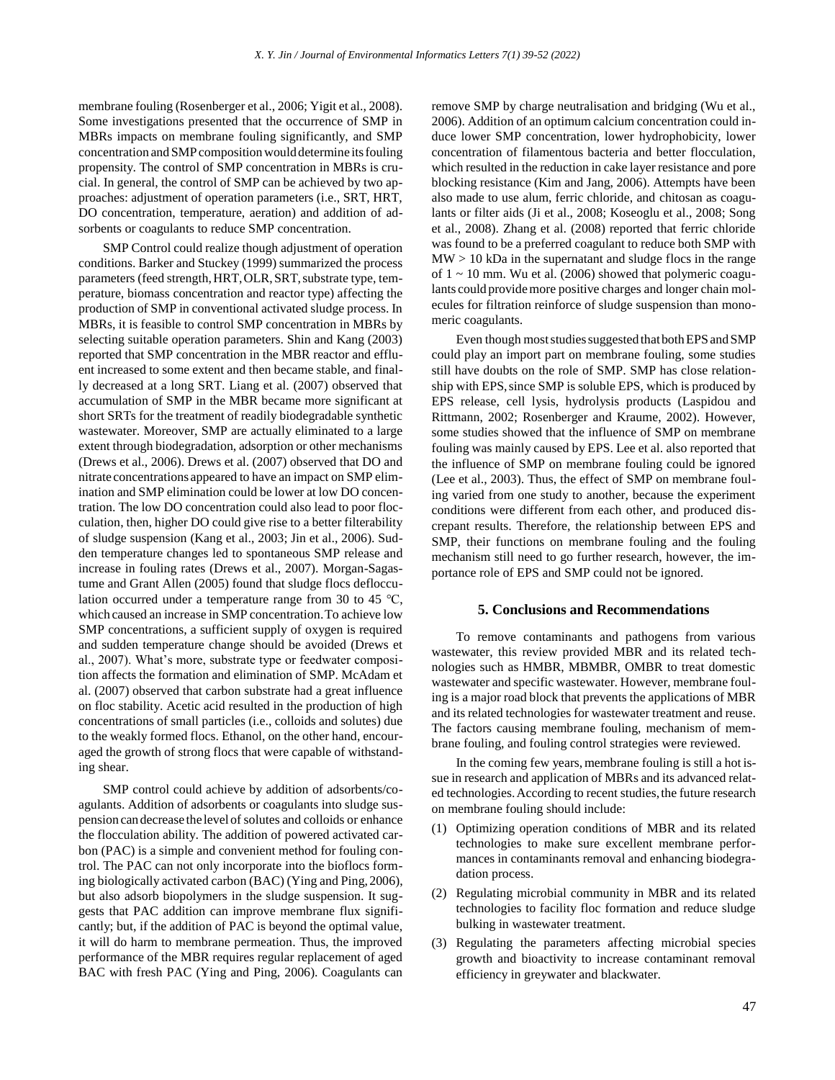membrane fouling (Rosenberger et al., 2006; Yigit et al., 2008). Some investigations presented that the occurrence of SMP in MBRs impacts on membrane fouling significantly, and SMP concentration and SMP composition would determine its fouling propensity. The control of SMP concentration in MBRs is crucial. In general, the control of SMP can be achieved by two approaches: adjustment of operation parameters (i.e., SRT, HRT, DO concentration, temperature, aeration) and addition of adsorbents or coagulants to reduce SMP concentration.

SMP Control could realize though adjustment of operation conditions. Barker and Stuckey (1999) summarized the process parameters (feed strength, HRT, OLR, SRT, substrate type, temperature, biomass concentration and reactor type) affecting the production of SMP in conventional activated sludge process. In MBRs, it is feasible to control SMP concentration in MBRs by selecting suitable operation parameters. Shin and Kang (2003) reported that SMP concentration in the MBR reactor and effluent increased to some extent and then became stable, and finally decreased at a long SRT. Liang et al. (2007) observed that accumulation of SMP in the MBR became more significant at short SRTs for the treatment of readily biodegradable synthetic wastewater. Moreover, SMP are actually eliminated to a large extent through biodegradation, adsorption or other mechanisms (Drews et al., 2006). Drews et al. (2007) observed that DO and nitrate concentrations appeared to have an impact on SMP elimination and SMP elimination could be lower at low DO concentration. The low DO concentration could also lead to poor flocculation, then, higher DO could give rise to a better filterability of sludge suspension (Kang et al., 2003; Jin et al., 2006). Sudden temperature changes led to spontaneous SMP release and increase in fouling rates (Drews et al., 2007). Morgan-Sagastume and Grant Allen (2005) found that sludge flocs deflocculation occurred under a temperature range from 30 to 45 ℃, which caused an increase in SMP concentration.To achieve low SMP concentrations, a sufficient supply of oxygen is required and sudden temperature change should be avoided (Drews et al., 2007). What's more, substrate type or feedwater composition affects the formation and elimination of SMP. McAdam et al. (2007) observed that carbon substrate had a great influence on floc stability. Acetic acid resulted in the production of high concentrations of small particles (i.e., colloids and solutes) due to the weakly formed flocs. Ethanol, on the other hand, encouraged the growth of strong flocs that were capable of withstanding shear.

SMP control could achieve by addition of adsorbents/coagulants. Addition of adsorbents or coagulants into sludge suspension candecrease the level of solutes and colloids or enhance the flocculation ability. The addition of powered activated carbon (PAC) is a simple and convenient method for fouling control. The PAC can not only incorporate into the bioflocs forming biologically activated carbon (BAC) (Ying and Ping,2006), but also adsorb biopolymers in the sludge suspension. It suggests that PAC addition can improve membrane flux significantly; but, if the addition of PAC is beyond the optimal value, it will do harm to membrane permeation. Thus, the improved performance of the MBR requires regular replacement of aged BAC with fresh PAC (Ying and Ping, 2006). Coagulants can remove SMP by charge neutralisation and bridging (Wu et al., 2006). Addition of an optimum calcium concentration could induce lower SMP concentration, lower hydrophobicity, lower concentration of filamentous bacteria and better flocculation, which resulted in the reduction in cake layer resistance and pore blocking resistance (Kim and Jang, 2006). Attempts have been also made to use alum, ferric chloride, and chitosan as coagulants or filter aids (Ji et al., 2008; Koseoglu et al., 2008; Song et al., 2008). Zhang et al. (2008) reported that ferric chloride was found to be a preferred coagulant to reduce both SMP with  $MW > 10$  kDa in the supernatant and sludge flocs in the range of  $1 \sim 10$  mm. Wu et al. (2006) showed that polymeric coagulants could providemore positive charges and longer chain molecules for filtration reinforce of sludge suspension than monomeric coagulants.

Even though most studies suggested that both EPS and SMP could play an import part on membrane fouling, some studies still have doubts on the role of SMP. SMP has close relationship with EPS, since SMP is soluble EPS, which is produced by EPS release, cell lysis, hydrolysis products (Laspidou and Rittmann, 2002; Rosenberger and Kraume, 2002). However, some studies showed that the influence of SMP on membrane fouling was mainly caused by EPS. Lee et al. also reported that the influence of SMP on membrane fouling could be ignored (Lee et al., 2003). Thus, the effect of SMP on membrane fouling varied from one study to another, because the experiment conditions were different from each other, and produced discrepant results. Therefore, the relationship between EPS and SMP, their functions on membrane fouling and the fouling mechanism still need to go further research, however, the importance role of EPS and SMP could not be ignored.

#### **5. Conclusions and Recommendations**

To remove contaminants and pathogens from various wastewater, this review provided MBR and its related technologies such as HMBR, MBMBR, OMBR to treat domestic wastewater and specific wastewater. However, membrane fouling is a major road block that prevents the applications of MBR and its related technologies for wastewater treatment and reuse. The factors causing membrane fouling, mechanism of membrane fouling, and fouling control strategies were reviewed.

In the coming few years, membrane fouling is still a hot issue in research and application of MBRs and its advanced related technologies. According to recent studies, the future research on membrane fouling should include:

- (1) Optimizing operation conditions of MBR and its related technologies to make sure excellent membrane performances in contaminants removal and enhancing biodegradation process.
- (2) Regulating microbial community in MBR and its related technologies to facility floc formation and reduce sludge bulking in wastewater treatment.
- (3) Regulating the parameters affecting microbial species growth and bioactivity to increase contaminant removal efficiency in greywater and blackwater.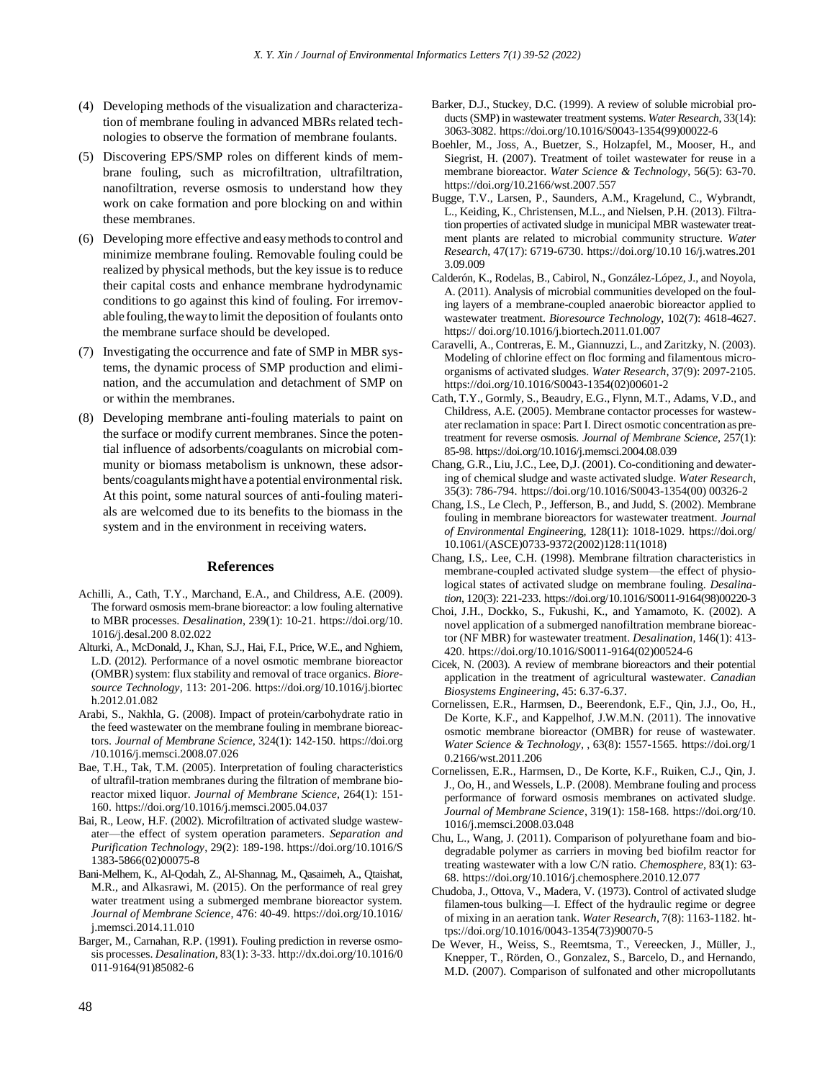- (4) Developing methods of the visualization and characterization of membrane fouling in advanced MBRs related technologies to observe the formation of membrane foulants.
- (5) Discovering EPS/SMP roles on different kinds of membrane fouling, such as microfiltration, ultrafiltration, nanofiltration, reverse osmosis to understand how they work on cake formation and pore blocking on and within these membranes.
- (6) Developing more effective and easymethodsto control and minimize membrane fouling. Removable fouling could be realized by physical methods, but the key issue is to reduce their capital costs and enhance membrane hydrodynamic conditions to go against this kind of fouling. For irremovable fouling, the way to limit the deposition of foulants onto the membrane surface should be developed.
- (7) Investigating the occurrence and fate of SMP in MBR systems, the dynamic process of SMP production and elimination, and the accumulation and detachment of SMP on or within the membranes.
- (8) Developing membrane anti-fouling materials to paint on the surface or modify current membranes. Since the potential influence of adsorbents/coagulants on microbial community or biomass metabolism is unknown, these adsorbents/coagulants might have a potential environmental risk. At this point, some natural sources of anti-fouling materials are welcomed due to its benefits to the biomass in the system and in the environment in receiving waters.

#### **References**

- Achilli, A., Cath, T.Y., Marchand, E.A., and Childress, A.E. (2009). The forward osmosis mem-brane bioreactor: a low fouling alternative to MBR processes. *Desalination*, 239(1): 10-21. https://doi.org/10. 1016/j.desal.200 8.02.022
- Alturki, A., McDonald, J., Khan, S.J., Hai, F.I., Price, W.E., and Nghiem, L.D. (2012). Performance of a novel osmotic membrane bioreactor (OMBR) system: flux stability and removal of trace organics. *Bioresource Technology*, 113: 201-206. https://doi.org/10.1016/j.biortec h.2012.01.082
- Arabi, S., Nakhla, G. (2008). Impact of protein/carbohydrate ratio in the feed wastewater on the membrane fouling in membrane bioreactors. *Journal of Membrane Science*, 324(1): 142-150. https://doi.org /10.1016/j.memsci.2008.07.026
- Bae, T.H., Tak, T.M. (2005). Interpretation of fouling characteristics of ultrafil-tration membranes during the filtration of membrane bioreactor mixed liquor. *Journal of Membrane Science*, 264(1): 151- 160. https://doi.org/10.1016/j.memsci.2005.04.037
- Bai, R., Leow, H.F. (2002). Microfiltration of activated sludge wastewater—the effect of system operation parameters. *Separation and Purification Technology*, 29(2): 189-198. https://doi.org/10.1016/S 1383-5866(02)00075-8
- Bani-Melhem, K., Al-Qodah, Z., Al-Shannag, M., Qasaimeh, A., Qtaishat, M.R., and Alkasrawi, M. (2015). On the performance of real grey water treatment using a submerged membrane bioreactor system. *Journal of Membrane Science*, 476: 40-49. https://doi.org/10.1016/ j.memsci.2014.11.010
- Barger, M., Carnahan, R.P. (1991). Fouling prediction in reverse osmosis processes. *Desalination*, 83(1): 3-33. http://dx.doi.org/10.1016/0 011-9164(91)85082-6
- Barker, D.J., Stuckey, D.C. (1999). A review of soluble microbial products (SMP) in wastewater treatment systems. *Water Research*, 33(14): 3063-3082. https://doi.org/10.1016/S0043-1354(99)00022-6
- Boehler, M., Joss, A., Buetzer, S., Holzapfel, M., Mooser, H., and Siegrist, H. (2007). Treatment of toilet wastewater for reuse in a membrane bioreactor. *Water Science & Technology*, 56(5): 63-70. https://doi.org/10.2166/wst.2007.557
- Bugge, T.V., Larsen, P., Saunders, A.M., Kragelund, C., Wybrandt, L., Keiding, K., Christensen, M.L., and Nielsen, P.H. (2013). Filtration properties of activated sludge in municipal MBR wastewater treatment plants are related to microbial community structure. *Water Research*, 47(17): 6719-6730. https://doi.org/10.10 16/j.watres.201 3.09.009
- Calderón, K., Rodelas, B., Cabirol, N., González-López, J., and Noyola, A. (2011). Analysis of microbial communities developed on the fouling layers of a membrane-coupled anaerobic bioreactor applied to wastewater treatment. *Bioresource Technology*, 102(7): 4618-4627. https:// doi.org/10.1016/j.biortech.2011.01.007
- Caravelli, A., Contreras, E. M., Giannuzzi, L., and Zaritzky, N. (2003). Modeling of chlorine effect on floc forming and filamentous microorganisms of activated sludges. *Water Research*, 37(9): 2097-2105. https://doi.org/10.1016/S0043-1354(02)00601-2
- Cath, T.Y., Gormly, S., Beaudry, E.G., Flynn, M.T., Adams, V.D., and Childress, A.E. (2005). Membrane contactor processes for wastewater reclamation in space: Part I. Direct osmotic concentration as pretreatment for reverse osmosis. *Journal of Membrane Science*, 257(1): 85-98. https://doi.org/10.1016/j.memsci.2004.08.039
- Chang, G.R., Liu, J.C., Lee, D,J. (2001). Co-conditioning and dewatering of chemical sludge and waste activated sludge. *Water Research*, 35(3): 786-794. https://doi.org/10.1016/S0043-1354(00) 00326-2
- Chang, I.S., Le Clech, P., Jefferson, B., and Judd, S. (2002). Membrane fouling in membrane bioreactors for wastewater treatment. *Journal of Environmental Engineerin*g, 128(11): 1018-1029. https://doi.org/ 10.1061/(ASCE)0733-9372(2002)128:11(1018)
- Chang, I.S,. Lee, C.H. (1998). Membrane filtration characteristics in membrane-coupled activated sludge system—the effect of physiological states of activated sludge on membrane fouling. *Desalination*, 120(3): 221-233. https://doi.org/10.1016/S0011-9164(98)00220-3
- Choi, J.H., Dockko, S., Fukushi, K., and Yamamoto, K. (2002). A novel application of a submerged nanofiltration membrane bioreactor (NF MBR) for wastewater treatment. *Desalination*, 146(1): 413- 420. https://doi.org/10.1016/S0011-9164(02)00524-6
- Cicek, N. (2003). A review of membrane bioreactors and their potential application in the treatment of agricultural wastewater. *Canadian Biosystems Engineering*, 45: 6.37-6.37.
- Cornelissen, E.R., Harmsen, D., Beerendonk, E.F., Qin, J.J., Oo, H., De Korte, K.F., and Kappelhof, J.W.M.N. (2011). The innovative osmotic membrane bioreactor (OMBR) for reuse of wastewater. *Water Science & Technology*, , 63(8): 1557-1565. https://doi.org/1 0.2166/wst.2011.206
- Cornelissen, E.R., Harmsen, D., De Korte, K.F., Ruiken, C.J., Qin, J. J., Oo, H., and Wessels, L.P. (2008). Membrane fouling and process performance of forward osmosis membranes on activated sludge. *Journal of Membrane Science*, 319(1): 158-168. https://doi.org/10. 1016/j.memsci.2008.03.048
- Chu, L., Wang, J. (2011). Comparison of polyurethane foam and biodegradable polymer as carriers in moving bed biofilm reactor for treating wastewater with a low C/N ratio. *Chemosphere*, 83(1): 63- 68. https://doi.org/10.1016/j.chemosphere.2010.12.077
- Chudoba, J., Ottova, V., Madera, V. (1973). Control of activated sludge filamen-tous bulking—I. Effect of the hydraulic regime or degree of mixing in an aeration tank. *Water Research*, 7(8): 1163-1182. https://doi.org/10.1016/0043-1354(73)90070-5
- De Wever, H., Weiss, S., Reemtsma, T., Vereecken, J., Müller, J., Knepper, T., Rörden, O., Gonzalez, S., Barcelo, D., and Hernando, M.D. (2007). Comparison of sulfonated and other micropollutants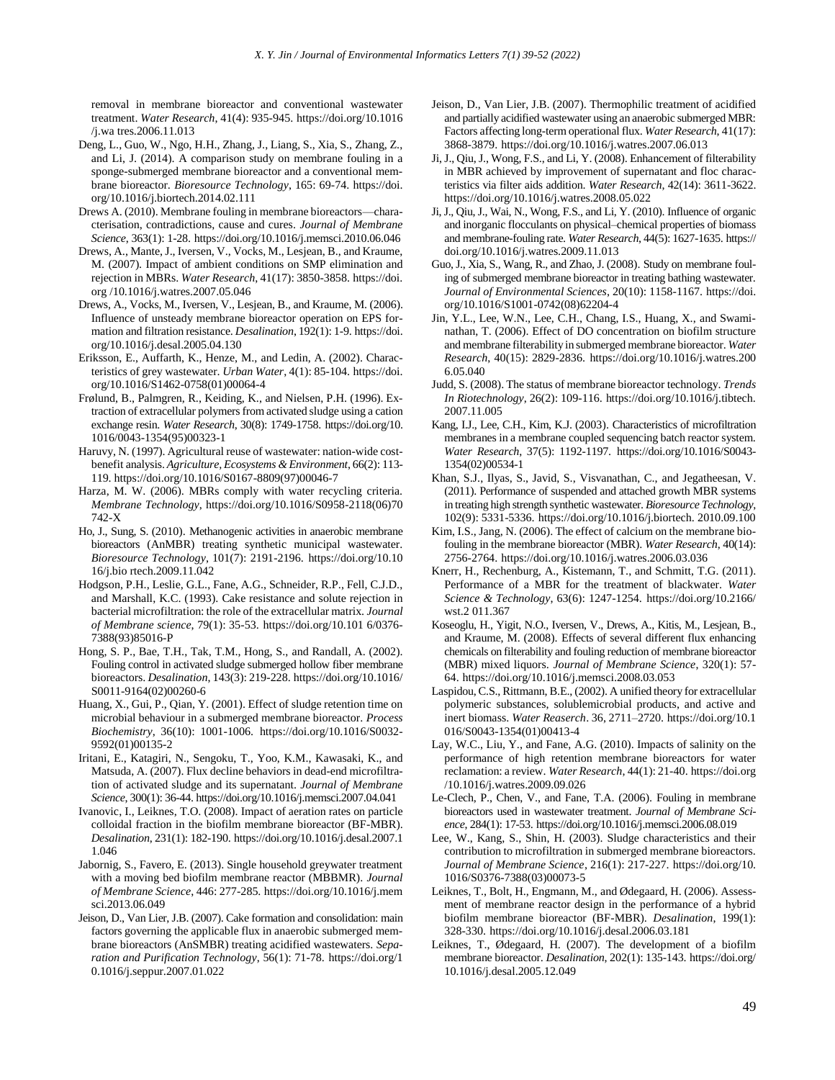removal in membrane bioreactor and conventional wastewater treatment. *Water Research*, 41(4): 935-945. https://doi.org/10.1016 /j.wa tres.2006.11.013

- Deng, L., Guo, W., Ngo, H.H., Zhang, J., Liang, S., Xia, S., Zhang, Z., and Li, J. (2014). A comparison study on membrane fouling in a sponge-submerged membrane bioreactor and a conventional membrane bioreactor. *Bioresource Technology*, 165: 69-74. https://doi. org/10.1016/j.biortech.2014.02.111
- Drews A. (2010). Membrane fouling in membrane bioreactors—characterisation, contradictions, cause and cures. *Journal of Membrane Science*, 363(1): 1-28. https://doi.org/10.1016/j.memsci.2010.06.046
- Drews, A., Mante, J., Iversen, V., Vocks, M., Lesjean, B., and Kraume, M. (2007). Impact of ambient conditions on SMP elimination and rejection in MBRs. *Water Research*, 41(17): 3850-3858. https://doi. org /10.1016/j.watres.2007.05.046
- Drews, A., Vocks, M., Iversen, V., Lesjean, B., and Kraume, M. (2006). Influence of unsteady membrane bioreactor operation on EPS formation and filtration resistance. *Desalination*, 192(1): 1-9. https://doi. org/10.1016/j.desal.2005.04.130
- Eriksson, E., Auffarth, K., Henze, M., and Ledin, A. (2002). Characteristics of grey wastewater. *Urban Water*, 4(1): 85-104. https://doi. org/10.1016/S1462-0758(01)00064-4
- Frølund, B., Palmgren, R., Keiding, K., and Nielsen, P.H. (1996). Extraction of extracellular polymers from activated sludge using a cation exchange resin. *Water Research*, 30(8): 1749-1758. https://doi.org/10. 1016/0043-1354(95)00323-1
- Haruvy, N. (1997). Agricultural reuse of wastewater: nation-wide costbenefit analysis. *Agriculture, Ecosystems & Environment*, 66(2): 113- 119. https://doi.org/10.1016/S0167-8809(97)00046-7
- Harza, M. W. (2006). MBRs comply with water recycling criteria. *Membrane Technology*, https://doi.org/10.1016/S0958-2118(06)70 742-X
- Ho, J., Sung, S. (2010). Methanogenic activities in anaerobic membrane bioreactors (AnMBR) treating synthetic municipal wastewater. *Bioresource Technology*, 101(7): 2191-2196. https://doi.org/10.10 16/j.bio rtech.2009.11.042
- Hodgson, P.H., Leslie, G.L., Fane, A.G., Schneider, R.P., Fell, C.J.D., and Marshall, K.C. (1993). Cake resistance and solute rejection in bacterial microfiltration: the role of the extracellular matrix. *Journal of Membrane science*, 79(1): 35-53. https://doi.org/10.101 6/0376- 7388(93)85016-P
- Hong, S. P., Bae, T.H., Tak, T.M., Hong, S., and Randall, A. (2002). Fouling control in activated sludge submerged hollow fiber membrane bioreactors. *Desalination*, 143(3): 219-228. https://doi.org/10.1016/ S0011-9164(02)00260-6
- Huang, X., Gui, P., Qian, Y. (2001). Effect of sludge retention time on microbial behaviour in a submerged membrane bioreactor. *Process Biochemistry*, 36(10): 1001-1006. https://doi.org/10.1016/S0032- 9592(01)00135-2
- Iritani, E., Katagiri, N., Sengoku, T., Yoo, K.M., Kawasaki, K., and Matsuda, A. (2007). Flux decline behaviors in dead-end microfiltration of activated sludge and its supernatant. *Journal of Membrane Science*, 300(1): 36-44. https://doi.org/10.1016/j.memsci.2007.04.041
- Ivanovic, I., Leiknes, T.O. (2008). Impact of aeration rates on particle colloidal fraction in the biofilm membrane bioreactor (BF-MBR). *Desalination*, 231(1): 182-190. https://doi.org/10.1016/j.desal.2007.1 1.046
- Jabornig, S., Favero, E. (2013). Single household greywater treatment with a moving bed biofilm membrane reactor (MBBMR). *Journal of Membrane Science*, 446: 277-285. https://doi.org/10.1016/j.mem sci.2013.06.049
- Jeison, D., Van Lier, J.B. (2007). Cake formation and consolidation: main factors governing the applicable flux in anaerobic submerged membrane bioreactors (AnSMBR) treating acidified wastewaters. *Separation and Purification Technology*, 56(1): 71-78. https://doi.org/1 0.1016/j.seppur.2007.01.022
- Jeison, D., Van Lier, J.B. (2007). Thermophilic treatment of acidified and partially acidified wastewater using an anaerobic submerged MBR: Factors affecting long-term operational flux. *Water Research*, 41(17): 3868-3879. https://doi.org/10.1016/j.watres.2007.06.013
- Ji, J., Qiu, J., Wong, F.S., and Li, Y. (2008). Enhancement of filterability in MBR achieved by improvement of supernatant and floc characteristics via filter aids addition. *Water Research*, 42(14): 3611-3622. https://doi.org/10.1016/j.watres.2008.05.022
- Ji, J., Qiu, J., Wai, N., Wong, F.S., and Li, Y. (2010). Influence of organic and inorganic flocculants on physical–chemical properties of biomass and membrane-fouling rate. *Water Research*, 44(5): 1627-1635. https:// doi.org/10.1016/j.watres.2009.11.013
- Guo, J., Xia, S., Wang, R., and Zhao, J. (2008). Study on membrane fouling of submerged membrane bioreactor in treating bathing wastewater. *Journal of Environmental Sciences*, 20(10): 1158-1167. https://doi. org/10.1016/S1001-0742(08)62204-4
- Jin, Y.L., Lee, W.N., Lee, C.H., Chang, I.S., Huang, X., and Swaminathan, T. (2006). Effect of DO concentration on biofilm structure and membrane filterability in submerged membrane bioreactor. *Water Research*, 40(15): 2829-2836. https://doi.org/10.1016/j.watres.200 6.05.040
- Judd, S. (2008). The status of membrane bioreactor technology. *Trends In Riotechnology*, 26(2): 109-116. https://doi.org/10.1016/j.tibtech. 2007.11.005
- Kang, I.J., Lee, C.H., Kim, K.J. (2003). Characteristics of microfiltration membranes in a membrane coupled sequencing batch reactor system. *Water Research*, 37(5): 1192-1197. https://doi.org/10.1016/S0043- 1354(02)00534-1
- Khan, S.J., Ilyas, S., Javid, S., Visvanathan, C., and Jegatheesan, V. (2011). Performance of suspended and attached growth MBR systems in treating high strength synthetic wastewater. *Bioresource Technology*, 102(9): 5331-5336. https://doi.org/10.1016/j.biortech. 2010.09.100
- Kim, I.S., Jang, N. (2006). The effect of calcium on the membrane biofouling in the membrane bioreactor (MBR). *Water Research*, 40(14): 2756-2764. https://doi.org/10.1016/j.watres.2006.03.036
- Knerr, H., Rechenburg, A., Kistemann, T., and Schmitt, T.G. (2011). Performance of a MBR for the treatment of blackwater. *Water Science & Technology*, 63(6): 1247-1254. https://doi.org/10.2166/ wst.2 011.367
- Koseoglu, H., Yigit, N.O., Iversen, V., Drews, A., Kitis, M., Lesjean, B., and Kraume, M. (2008). Effects of several different flux enhancing chemicals on filterability and fouling reduction of membrane bioreactor (MBR) mixed liquors. *Journal of Membrane Science*, 320(1): 57- 64. https://doi.org/10.1016/j.memsci.2008.03.053
- Laspidou, C.S., Rittmann, B.E., (2002). A unified theory for extracellular polymeric substances, solublemicrobial products, and active and inert biomass. *Water Reaserch*. 36, 2711–2720. https://doi.org/10.1 016/S0043-1354(01)00413-4
- Lay, W.C., Liu, Y., and Fane, A.G. (2010). Impacts of salinity on the performance of high retention membrane bioreactors for water reclamation: a review. *Water Research*, 44(1): 21-40. https://doi.org /10.1016/j.watres.2009.09.026
- Le-Clech, P., Chen, V., and Fane, T.A. (2006). Fouling in membrane bioreactors used in wastewater treatment. *Journal of Membrane Science*, 284(1): 17-53. https://doi.org/10.1016/j.memsci.2006.08.019
- Lee, W., Kang, S., Shin, H. (2003). Sludge characteristics and their contribution to microfiltration in submerged membrane bioreactors. *Journal of Membrane Science*, 216(1): 217-227. https://doi.org/10. 1016/S0376-7388(03)00073-5
- Leiknes, T., Bolt, H., Engmann, M., and Ødegaard, H. (2006). Assessment of membrane reactor design in the performance of a hybrid biofilm membrane bioreactor (BF-MBR). *Desalination*, 199(1): 328-330. https://doi.org/10.1016/j.desal.2006.03.181
- Leiknes, T., Ødegaard, H. (2007). The development of a biofilm membrane bioreactor. *Desalination*, 202(1): 135-143. https://doi.org/ 10.1016/j.desal.2005.12.049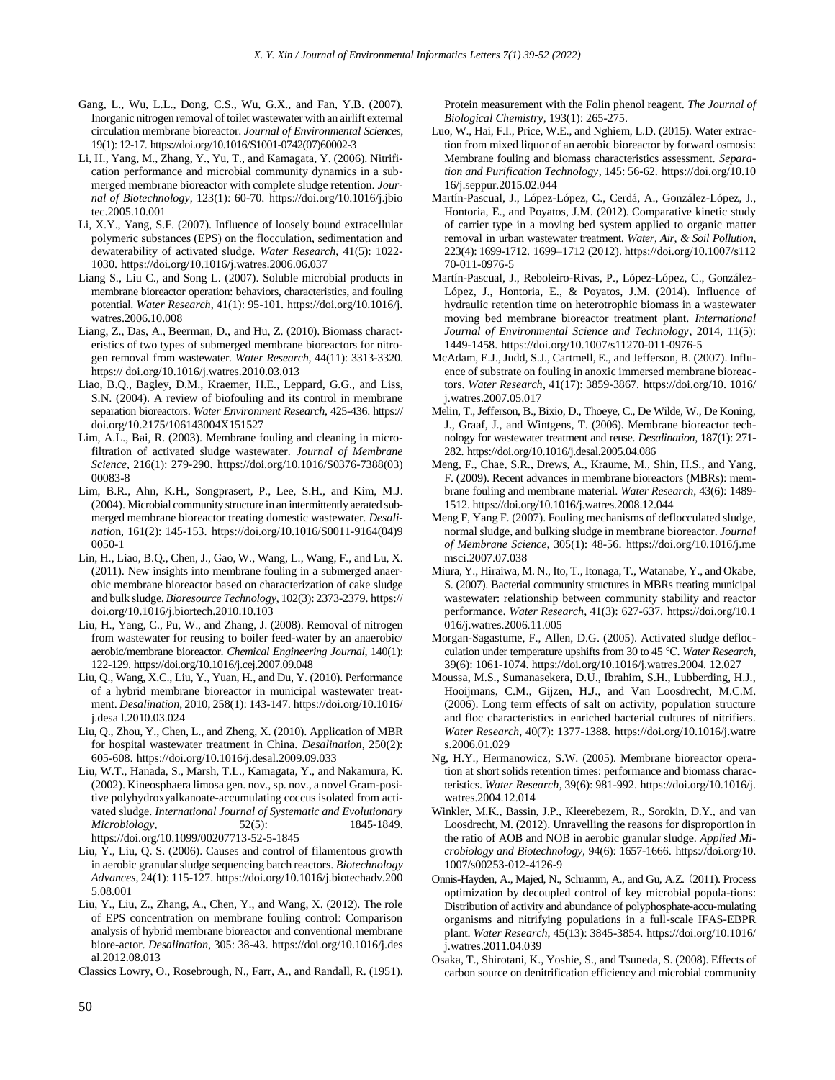- Gang, L., Wu, L.L., Dong, C.S., Wu, G.X., and Fan, Y.B. (2007). Inorganic nitrogen removal of toilet wastewater with an airlift external circulation membrane bioreactor. *Journal of Environmental Sciences*, 19(1): 12-17. https://doi.org/10.1016/S1001-0742(07)60002-3
- Li, H., Yang, M., Zhang, Y., Yu, T., and Kamagata, Y. (2006). Nitrification performance and microbial community dynamics in a submerged membrane bioreactor with complete sludge retention. *Journal of Biotechnology*, 123(1): 60-70. https://doi.org/10.1016/j.jbio tec.2005.10.001
- Li, X.Y., Yang, S.F. (2007). Influence of loosely bound extracellular polymeric substances (EPS) on the flocculation, sedimentation and dewaterability of activated sludge. *Water Research*, 41(5): 1022- 1030. https://doi.org/10.1016/j.watres.2006.06.037
- Liang S., Liu C., and Song L. (2007). Soluble microbial products in membrane bioreactor operation: behaviors, characteristics, and fouling potential. *Water Research*, 41(1): 95-101. https://doi.org/10.1016/j. watres.2006.10.008
- Liang, Z., Das, A., Beerman, D., and Hu, Z. (2010). Biomass characteristics of two types of submerged membrane bioreactors for nitrogen removal from wastewater. *Water Research*, 44(11): 3313-3320. https:// doi.org/10.1016/j.watres.2010.03.013
- Liao, B.Q., Bagley, D.M., Kraemer, H.E., Leppard, G.G., and Liss, S.N. (2004). A review of biofouling and its control in membrane separation bioreactors. *Water Environment Research*, 425-436. https:// doi.org/10.2175/106143004X151527
- Lim, A.L., Bai, R. (2003). Membrane fouling and cleaning in microfiltration of activated sludge wastewater. *Journal of Membrane Science*, 216(1): 279-290. https://doi.org/10.1016/S0376-7388(03) 00083-8
- Lim, B.R., Ahn, K.H., Songprasert, P., Lee, S.H., and Kim, M.J. (2004). Microbial community structure in an intermittently aerated submerged membrane bioreactor treating domestic wastewater. *Desalinatio*n, 161(2): 145-153. https://doi.org/10.1016/S0011-9164(04)9 0050-1
- Lin, H., Liao, B.Q., Chen, J., Gao, W., Wang, L., Wang, F., and Lu, X. (2011). New insights into membrane fouling in a submerged anaerobic membrane bioreactor based on characterization of cake sludge and bulk sludge. *Bioresource Technology*, 102(3): 2373-2379. https:// doi.org/10.1016/j.biortech.2010.10.103
- Liu, H., Yang, C., Pu, W., and Zhang, J. (2008). Removal of nitrogen from wastewater for reusing to boiler feed-water by an anaerobic/ aerobic/membrane bioreactor. *Chemical Engineering Journal*, 140(1): 122-129. https://doi.org/10.1016/j.cej.2007.09.048
- Liu, Q., Wang, X.C., Liu, Y., Yuan, H., and Du, Y. (2010). Performance of a hybrid membrane bioreactor in municipal wastewater treatment. *Desalination*, 2010, 258(1): 143-147. https://doi.org/10.1016/ j.desa l.2010.03.024
- Liu, Q., Zhou, Y., Chen, L., and Zheng, X. (2010). Application of MBR for hospital wastewater treatment in China. *Desalination*, 250(2): 605-608. https://doi.org/10.1016/j.desal.2009.09.033
- Liu, W.T., Hanada, S., Marsh, T.L., Kamagata, Y., and Nakamura, K. (2002). Kineosphaera limosa gen. nov., sp. nov., a novel Gram-positive polyhydroxyalkanoate-accumulating coccus isolated from activated sludge. *International Journal of Systematic and Evolutionary Microbiology*, 52(5): 1845-1849. https://doi.org/10.1099/00207713-52-5-1845
- Liu, Y., Liu, Q. S. (2006). Causes and control of filamentous growth in aerobic granular sludge sequencing batch reactors. *Biotechnology Advances*, 24(1): 115-127. https://doi.org/10.1016/j.biotechadv.200 5.08.001
- Liu, Y., Liu, Z., Zhang, A., Chen, Y., and Wang, X. (2012). The role of EPS concentration on membrane fouling control: Comparison analysis of hybrid membrane bioreactor and conventional membrane biore-actor. *Desalination*, 305: 38-43. https://doi.org/10.1016/j.des al.2012.08.013
- Classics Lowry, O., Rosebrough, N., Farr, A., and Randall, R. (1951).

Protein measurement with the Folin phenol reagent. *The Journal of Biological Chemistry*, 193(1): 265-275.

- Luo, W., Hai, F.I., Price, W.E., and Nghiem, L.D. (2015). Water extraction from mixed liquor of an aerobic bioreactor by forward osmosis: Membrane fouling and biomass characteristics assessment. *Separation and Purification Technology*, 145: 56-62. https://doi.org/10.10 16/j.seppur.2015.02.044
- Martín-Pascual, J., López-López, C., Cerdá, A., González-López, J., Hontoria, E., and Poyatos, J.M. (2012). Comparative kinetic study of carrier type in a moving bed system applied to organic matter removal in urban wastewater treatment. *Water, Air, & Soil Pollution*, 223(4): 1699-1712. 1699–1712 (2012). https://doi.org/10.1007/s112 70-011-0976-5
- Martín-Pascual, J., Reboleiro-Rivas, P., López-López, C., González-López, J., Hontoria, E., & Poyatos, J.M. (2014). Influence of hydraulic retention time on heterotrophic biomass in a wastewater moving bed membrane bioreactor treatment plant. *International Journal of Environmental Science and Technology*, 2014, 11(5): 1449-1458. https://doi.org/10.1007/s11270-011-0976-5
- McAdam, E.J., Judd, S.J., Cartmell, E., and Jefferson, B. (2007). Influence of substrate on fouling in anoxic immersed membrane bioreactors. *Water Research*, 41(17): 3859-3867. https://doi.org/10. 1016/ j.watres.2007.05.017
- Melin, T., Jefferson, B., Bixio, D., Thoeye, C., De Wilde, W., De Koning, J., Graaf, J., and Wintgens, T. (2006). Membrane bioreactor technology for wastewater treatment and reuse. *Desalination*, 187(1): 271- 282. https://doi.org/10.1016/j.desal.2005.04.086
- Meng, F., Chae, S.R., Drews, A., Kraume, M., Shin, H.S., and Yang, F. (2009). Recent advances in membrane bioreactors (MBRs): membrane fouling and membrane material. *Water Research*, 43(6): 1489- 1512. https://doi.org/10.1016/j.watres.2008.12.044
- Meng F, Yang F. (2007). Fouling mechanisms of deflocculated sludge, normal sludge, and bulking sludge in membrane bioreactor. *Journal of Membrane Science*, 305(1): 48-56. https://doi.org/10.1016/j.me msci.2007.07.038
- Miura, Y., Hiraiwa, M. N., Ito, T., Itonaga, T., Watanabe, Y., and Okabe, S. (2007). Bacterial community structures in MBRs treating municipal wastewater: relationship between community stability and reactor performance. *Water Research*, 41(3): 627-637. https://doi.org/10.1 016/j.watres.2006.11.005
- Morgan-Sagastume, F., Allen, D.G. (2005). Activated sludge deflocculation under temperature upshifts from 30 to 45 ℃. *Water Research*, 39(6): 1061-1074. https://doi.org/10.1016/j.watres.2004. 12.027
- Moussa, M.S., Sumanasekera, D.U., Ibrahim, S.H., Lubberding, H.J., Hooijmans, C.M., Gijzen, H.J., and Van Loosdrecht, M.C.M. (2006). Long term effects of salt on activity, population structure and floc characteristics in enriched bacterial cultures of nitrifiers. *Water Research*, 40(7): 1377-1388. https://doi.org/10.1016/j.watre s.2006.01.029
- Ng, H.Y., Hermanowicz, S.W. (2005). Membrane bioreactor operation at short solids retention times: performance and biomass characteristics. *Water Research*, 39(6): 981-992. https://doi.org/10.1016/j. watres.2004.12.014
- Winkler, M.K., Bassin, J.P., Kleerebezem, R., Sorokin, D.Y., and van Loosdrecht, M. (2012). Unravelling the reasons for disproportion in the ratio of AOB and NOB in aerobic granular sludge. *Applied Microbiology and Biotechnology*, 94(6): 1657-1666. https://doi.org/10. 1007/s00253-012-4126-9
- Onnis-Hayden, A., Majed, N., Schramm, A., and Gu, A.Z. (2011). Process optimization by decoupled control of key microbial popula-tions: Distribution of activity and abundance of polyphosphate-accu-mulating organisms and nitrifying populations in a full-scale IFAS-EBPR plant. *Water Research*, 45(13): 3845-3854. https://doi.org/10.1016/ j.watres.2011.04.039
- Osaka, T., Shirotani, K., Yoshie, S., and Tsuneda, S. (2008). Effects of carbon source on denitrification efficiency and microbial community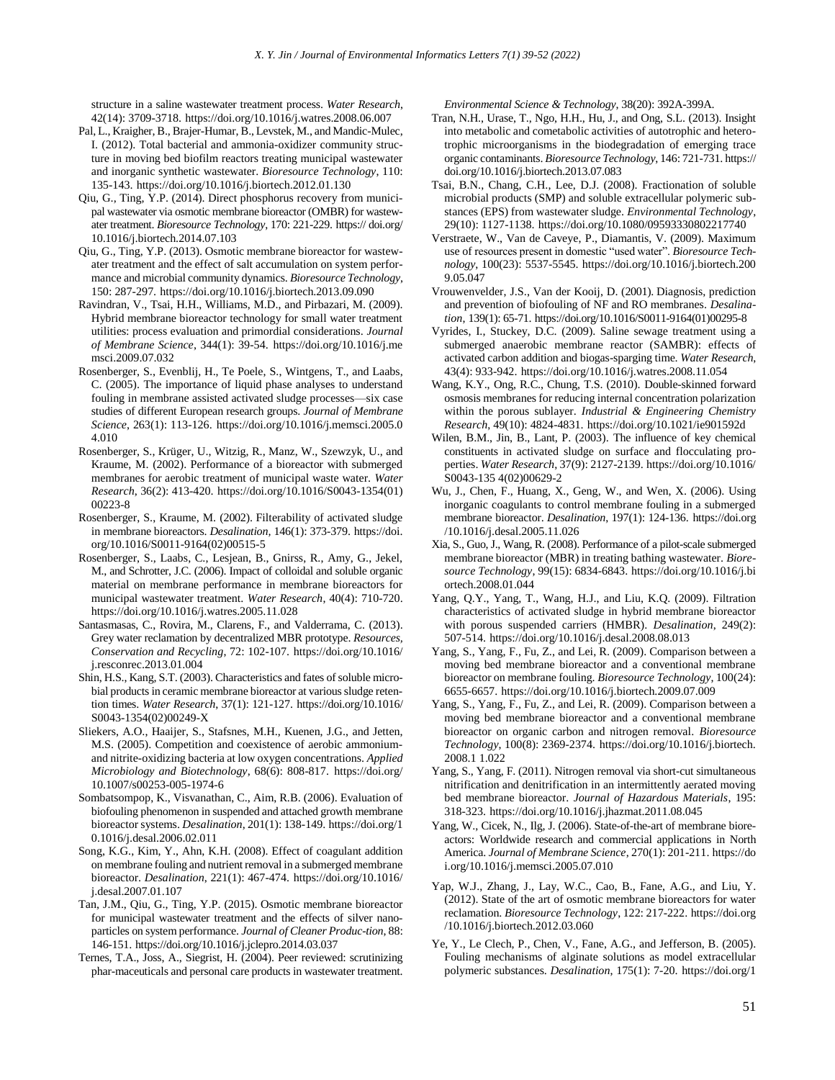structure in a saline wastewater treatment process. *Water Research*, 42(14): 3709-3718. https://doi.org/10.1016/j.watres.2008.06.007

- Pal, L., Kraigher, B., Brajer-Humar, B., Levstek, M., and Mandic-Mulec, I. (2012). Total bacterial and ammonia-oxidizer community structure in moving bed biofilm reactors treating municipal wastewater and inorganic synthetic wastewater. *Bioresource Technology*, 110: 135-143. https://doi.org/10.1016/j.biortech.2012.01.130
- Qiu, G., Ting, Y.P. (2014). Direct phosphorus recovery from municipal wastewater via osmotic membrane bioreactor (OMBR) for wastewater treatment. *Bioresource Technology*, 170: 221-229. https:// doi.org/ 10.1016/j.biortech.2014.07.103
- Qiu, G., Ting, Y.P. (2013). Osmotic membrane bioreactor for wastewater treatment and the effect of salt accumulation on system performance and microbial community dynamics. *Bioresource Technology*, 150: 287-297. https://doi.org/10.1016/j.biortech.2013.09.090
- Ravindran, V., Tsai, H.H., Williams, M.D., and Pirbazari, M. (2009). Hybrid membrane bioreactor technology for small water treatment utilities: process evaluation and primordial considerations. *Journal of Membrane Science*, 344(1): 39-54. https://doi.org/10.1016/j.me msci.2009.07.032
- Rosenberger, S., Evenblij, H., Te Poele, S., Wintgens, T., and Laabs, C. (2005). The importance of liquid phase analyses to understand fouling in membrane assisted activated sludge processes—six case studies of different European research groups. *Journal of Membrane Science*, 263(1): 113-126. https://doi.org/10.1016/j.memsci.2005.0 4.010
- Rosenberger, S., Krüger, U., Witzig, R., Manz, W., Szewzyk, U., and Kraume, M. (2002). Performance of a bioreactor with submerged membranes for aerobic treatment of municipal waste water. *Water Research*, 36(2): 413-420. https://doi.org/10.1016/S0043-1354(01) 00223-8
- Rosenberger, S., Kraume, M. (2002). Filterability of activated sludge in membrane bioreactors. *Desalination,* 146(1): 373-379. https://doi. org/10.1016/S0011-9164(02)00515-5
- Rosenberger, S., Laabs, C., Lesjean, B., Gnirss, R., Amy, G., Jekel, M., and Schrotter, J.C. (2006). Impact of colloidal and soluble organic material on membrane performance in membrane bioreactors for municipal wastewater treatment. *Water Research*, 40(4): 710-720. https://doi.org/10.1016/j.watres.2005.11.028
- Santasmasas, C., Rovira, M., Clarens, F., and Valderrama, C. (2013). Grey water reclamation by decentralized MBR prototype. *Resources, Conservation and Recycling*, 72: 102-107. https://doi.org/10.1016/ j.resconrec.2013.01.004
- Shin, H.S., Kang, S.T. (2003). Characteristics and fates of soluble microbial products in ceramic membrane bioreactor at various sludge retention times. *Water Research*, 37(1): 121-127. https://doi.org/10.1016/ S0043-1354(02)00249-X
- Sliekers, A.O., Haaijer, S., Stafsnes, M.H., Kuenen, J.G., and Jetten, M.S. (2005). Competition and coexistence of aerobic ammoniumand nitrite-oxidizing bacteria at low oxygen concentrations. *Applied Microbiology and Biotechnology*, 68(6): 808-817. https://doi.org/ 10.1007/s00253-005-1974-6
- Sombatsompop, K., Visvanathan, C., Aim, R.B. (2006). Evaluation of biofouling phenomenon in suspended and attached growth membrane bioreactor systems. *Desalination*, 201(1): 138-149. https://doi.org/1 0.1016/j.desal.2006.02.011
- Song, K.G., Kim, Y., Ahn, K.H. (2008). Effect of coagulant addition on membrane fouling and nutrient removal in a submerged membrane bioreactor. *Desalination*, 221(1): 467-474. https://doi.org/10.1016/ j.desal.2007.01.107
- Tan, J.M., Qiu, G., Ting, Y.P. (2015). Osmotic membrane bioreactor for municipal wastewater treatment and the effects of silver nanoparticles on system performance. *Journal of Cleaner Produc-tion*, 88: 146-151. https://doi.org/10.1016/j.jclepro.2014.03.037
- Ternes, T.A., Joss, A., Siegrist, H. (2004). Peer reviewed: scrutinizing phar-maceuticals and personal care products in wastewater treatment.

*Environmental Science & Technology*, 38(20): 392A-399A.

- Tran, N.H., Urase, T., Ngo, H.H., Hu, J., and Ong, S.L. (2013). Insight into metabolic and cometabolic activities of autotrophic and heterotrophic microorganisms in the biodegradation of emerging trace organic contaminants. *Bioresource Technology*, 146: 721-731. https:// doi.org/10.1016/j.biortech.2013.07.083
- Tsai, B.N., Chang, C.H., Lee, D.J. (2008). Fractionation of soluble microbial products (SMP) and soluble extracellular polymeric substances (EPS) from wastewater sludge. *Environmental Technology*, 29(10): 1127-1138. https://doi.org/10.1080/09593330802217740
- Verstraete, W., Van de Caveye, P., Diamantis, V. (2009). Maximum use of resources present in domestic "used water". *Bioresource Technology*, 100(23): 5537-5545. https://doi.org/10.1016/j.biortech.200 9.05.047
- Vrouwenvelder, J.S., Van der Kooij, D. (2001). Diagnosis, prediction and prevention of biofouling of NF and RO membranes. *Desalination*, 139(1): 65-71. https://doi.org/10.1016/S0011-9164(01)00295-8
- Vyrides, I., Stuckey, D.C. (2009). Saline sewage treatment using a submerged anaerobic membrane reactor (SAMBR): effects of activated carbon addition and biogas-sparging time. *Water Research*, 43(4): 933-942. https://doi.org/10.1016/j.watres.2008.11.054
- Wang, K.Y., Ong, R.C., Chung, T.S. (2010). Double-skinned forward osmosis membranes for reducing internal concentration polarization within the porous sublayer. *Industrial & Engineering Chemistry Research*, 49(10): 4824-4831. https://doi.org/10.1021/ie901592d
- Wilen, B.M., Jin, B., Lant, P. (2003). The influence of key chemical constituents in activated sludge on surface and flocculating properties. *Water Research*, 37(9): 2127-2139. https://doi.org/10.1016/ S0043-135 4(02)00629-2
- Wu, J., Chen, F., Huang, X., Geng, W., and Wen, X. (2006). Using inorganic coagulants to control membrane fouling in a submerged membrane bioreactor. *Desalination*, 197(1): 124-136. https://doi.org /10.1016/j.desal.2005.11.026
- Xia, S., Guo, J., Wang, R. (2008). Performance of a pilot-scale submerged membrane bioreactor (MBR) in treating bathing wastewater. *Bioresource Technology*, 99(15): 6834-6843. https://doi.org/10.1016/j.bi ortech.2008.01.044
- Yang, Q.Y., Yang, T., Wang, H.J., and Liu, K.Q. (2009). Filtration characteristics of activated sludge in hybrid membrane bioreactor with porous suspended carriers (HMBR). *Desalination*, 249(2): 507-514. https://doi.org/10.1016/j.desal.2008.08.013
- Yang, S., Yang, F., Fu, Z., and Lei, R. (2009). Comparison between a moving bed membrane bioreactor and a conventional membrane bioreactor on membrane fouling. *Bioresource Technology*, 100(24): 6655-6657. https://doi.org/10.1016/j.biortech.2009.07.009
- Yang, S., Yang, F., Fu, Z., and Lei, R. (2009). Comparison between a moving bed membrane bioreactor and a conventional membrane bioreactor on organic carbon and nitrogen removal. *Bioresource Technology*, 100(8): 2369-2374. https://doi.org/10.1016/j.biortech. 2008.1 1.022
- Yang, S., Yang, F. (2011). Nitrogen removal via short-cut simultaneous nitrification and denitrification in an intermittently aerated moving bed membrane bioreactor. *Journal of Hazardous Materials*, 195: 318-323. https://doi.org/10.1016/j.jhazmat.2011.08.045
- Yang, W., Cicek, N., Ilg, J. (2006). State-of-the-art of membrane bioreactors: Worldwide research and commercial applications in North America. *Journal of Membrane Science*, 270(1): 201-211. https://do i.org/10.1016/j.memsci.2005.07.010
- Yap, W.J., Zhang, J., Lay, W.C., Cao, B., Fane, A.G., and Liu, Y. (2012). State of the art of osmotic membrane bioreactors for water reclamation. *Bioresource Technology*, 122: 217-222. https://doi.org /10.1016/j.biortech.2012.03.060
- Ye, Y., Le Clech, P., Chen, V., Fane, A.G., and Jefferson, B. (2005). Fouling mechanisms of alginate solutions as model extracellular polymeric substances. *Desalination*, 175(1): 7-20. https://doi.org/1